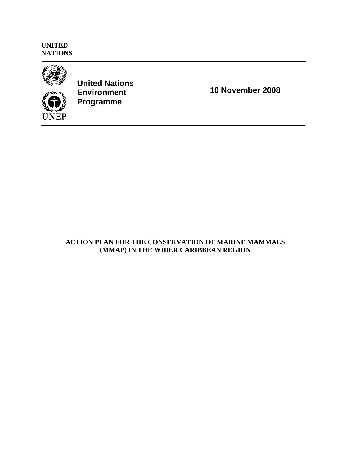**UNITED NATIONS** 



**UNEP** 

**United Nations Environment Programme** 

**10 November 2008** 

# **ACTION PLAN FOR THE CONSERVATION OF MARINE MAMMALS (MMAP) IN THE WIDER CARIBBEAN REGION**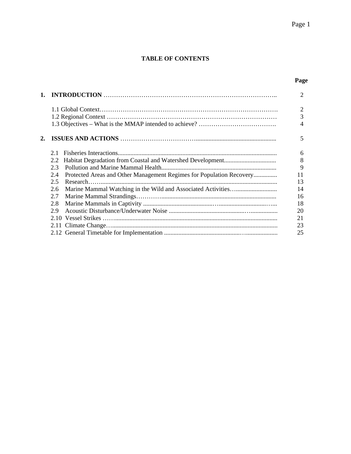# **TABLE OF CONTENTS**

# **Page**

|    |     |                                                                      | $\overline{c}$           |
|----|-----|----------------------------------------------------------------------|--------------------------|
|    |     |                                                                      | $\overline{2}$           |
|    |     |                                                                      | 3                        |
|    |     |                                                                      | $\overline{\mathcal{A}}$ |
| 2. |     |                                                                      | 5                        |
|    | 2.1 |                                                                      | 6                        |
|    | 2.2 |                                                                      | 8                        |
|    | 2.3 |                                                                      | 9                        |
|    | 2.4 | Protected Areas and Other Management Regimes for Population Recovery | 11                       |
|    | 2.5 |                                                                      | 13                       |
|    | 2.6 |                                                                      | 14                       |
|    | 2.7 |                                                                      | 16                       |
|    | 2.8 |                                                                      | 18                       |
|    | 2.9 |                                                                      | 20                       |
|    |     |                                                                      | 21                       |
|    |     |                                                                      | 23                       |
|    |     |                                                                      | 25                       |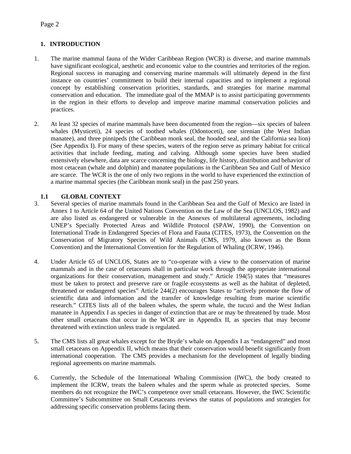# **1. INTRODUCTION**

- 1. The marine mammal fauna of the Wider Caribbean Region (WCR) is diverse, and marine mammals have significant ecological, aesthetic and economic value to the countries and territories of the region. Regional success in managing and conserving marine mammals will ultimately depend in the first instance on countries' commitment to build their internal capacities and to implement a regional concept by establishing conservation priorities, standards, and strategies for marine mammal conservation and education. The immediate goal of the MMAP is to assist participating governments in the region in their efforts to develop and improve marine mammal conservation policies and practices.
- 2. At least 32 species of marine mammals have been documented from the region—six species of baleen whales (Mysticeti), 24 species of toothed whales (Odontoceti), one sirenian (the West Indian manatee), and three pinnipeds (the Caribbean monk seal, the hooded seal, and the California sea lion) (See Appendix I). For many of these species, waters of the region serve as primary habitat for critical activities that include feeding, mating and calving. Although some species have been studied extensively elsewhere, data are scarce concerning the biology, life history, distribution and behavior of most cetacean (whale and dolphin) and manatee populations in the Caribbean Sea and Gulf of Mexico are scarce. The WCR is the one of only two regions in the world to have experienced the extinction of a marine mammal species (the Caribbean monk seal) in the past 250 years.

# **1.1 GLOBAL CONTEXT**

- 3. Several species of marine mammals found in the Caribbean Sea and the Gulf of Mexico are listed in Annex 1 to Article 64 of the United Nations Convention on the Law of the Sea (UNCLOS, 1982) and are also listed as endangered or vulnerable in the Annexes of multilateral agreements, including UNEP's Specially Protected Areas and Wildlife Protocol (SPAW, 1990), the Convention on International Trade in Endangered Species of Flora and Fauna (CITES, 1973), the Convention on the Conservation of Migratory Species of Wild Animals (CMS, 1979, also known as the Bonn Convention) and the International Convention for the Regulation of Whaling (ICRW, 1946).
- 4. Under Article 65 of UNCLOS, States are to "co-operate with a view to the conservation of marine mammals and in the case of cetaceans shall in particular work through the appropriate international organizations for their conservation, management and study." Article 194(5) states that "measures must be taken to protect and preserve rare or fragile ecosystems as well as the habitat of depleted, threatened or endangered species" Article 244(2) encourages States to "actively promote the flow of scientific data and information and the transfer of knowledge resulting from marine scientific research." CITES lists all of the baleen whales, the sperm whale, the tucuxi and the West Indian manatee in Appendix I as species in danger of extinction that are or may be threatened by trade. Most other small cetaceans that occur in the WCR are in Appendix II, as species that may become threatened with extinction unless trade is regulated.
- 5. The CMS lists all great whales except for the Bryde's whale on Appendix I as "endangered" and most small cetaceans on Appendix II, which means that their conservation would benefit significantly from international cooperation. The CMS provides a mechanism for the development of legally binding regional agreements on marine mammals.
- 6. Currently, the Schedule of the International Whaling Commission (IWC), the body created to implement the ICRW, treats the baleen whales and the sperm whale as protected species. Some members do not recognize the IWC's competence over small cetaceans. However, the IWC Scientific Committee's Subcommittee on Small Cetaceans reviews the status of populations and strategies for addressing specific conservation problems facing them.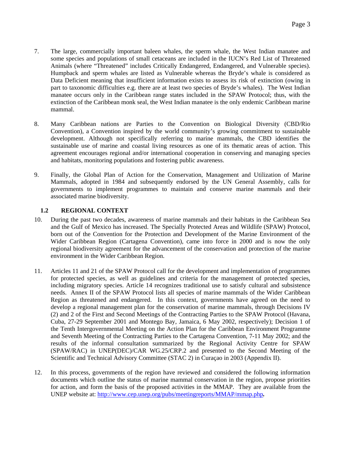- 7. The large, commercially important baleen whales, the sperm whale, the West Indian manatee and some species and populations of small cetaceans are included in the IUCN's Red List of Threatened Animals (where "Threatened" includes Critically Endangered, Endangered, and Vulnerable species). Humpback and sperm whales are listed as Vulnerable whereas the Bryde's whale is considered as Data Deficient meaning that insufficient information exists to assess its risk of extinction (owing in part to taxonomic difficulties e.g. there are at least two species of Bryde's whales). The West Indian manatee occurs only in the Caribbean range states included in the SPAW Protocol; thus, with the extinction of the Caribbean monk seal, the West Indian manatee is the only endemic Caribbean marine mammal.
- 8. Many Caribbean nations are Parties to the Convention on Biological Diversity (CBD/Rio Convention), a Convention inspired by the world community's growing commitment to sustainable development. Although not specifically referring to marine mammals, the CBD identifies the sustainable use of marine and coastal living resources as one of its thematic areas of action. This agreement encourages regional and/or international cooperation in conserving and managing species and habitats, monitoring populations and fostering public awareness.
- 9. Finally, the Global Plan of Action for the Conservation, Management and Utilization of Marine Mammals, adopted in 1984 and subsequently endorsed by the UN General Assembly, calls for governments to implement programmes to maintain and conserve marine mammals and their associated marine biodiversity.

# **1.2****REGIONAL CONTEXT**

- 10. During the past two decades, awareness of marine mammals and their habitats in the Caribbean Sea and the Gulf of Mexico has increased. The Specially Protected Areas and Wildlife (SPAW) Protocol, born out of the Convention for the Protection and Development of the Marine Environment of the Wider Caribbean Region (Cartagena Convention), came into force in 2000 and is now the only regional biodiversity agreement for the advancement of the conservation and protection of the marine environment in the Wider Caribbean Region.
- 11. Articles 11 and 21 of the SPAW Protocol call for the development and implementation of programmes for protected species, as well as guidelines and criteria for the management of protected species, including migratory species. Article 14 recognizes traditional use to satisfy cultural and subsistence needs. Annex II of the SPAW Protocol lists all species of marine mammals of the Wider Caribbean Region as threatened and endangered. In this context, governments have agreed on the need to develop a regional management plan for the conservation of marine mammals, through Decisions IV (2) and 2 of the First and Second Meetings of the Contracting Parties to the SPAW Protocol (Havana, Cuba, 27-29 September 2001 and Montego Bay, Jamaica, 6 May 2002, respectively); Decision 1 of the Tenth Intergovernmental Meeting on the Action Plan for the Caribbean Environment Programme and Seventh Meeting of the Contracting Parties to the Cartagena Convention, 7-11 May 2002; and the results of the informal consultation summarized by the Regional Activity Centre for SPAW (SPAW/RAC) in UNEP(DEC)/CAR WG.25/CRP.2 and presented to the Second Meeting of the Scientific and Technical Advisory Committee (STAC 2) in Curaçao in 2003 (Appendix II).
- 12. In this process, governments of the region have reviewed and considered the following information documents which outline the status of marine mammal conservation in the region, propose priorities for action, and form the basis of the proposed activities in the MMAP. They are available from the UNEP website at: http://www.cep.unep.org/pubs/meetingreports/MMAP/mmap.php*.*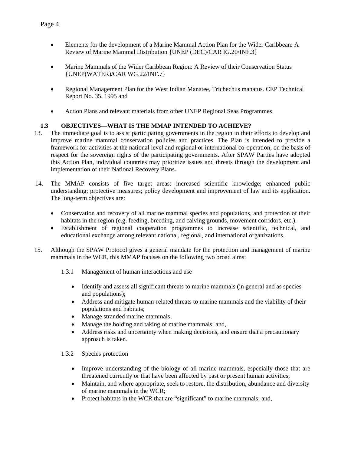- Elements for the development of a Marine Mammal Action Plan for the Wider Caribbean: A Review of Marine Mammal Distribution {UNEP (DEC)/CAR IG.20/INF.3}
- Marine Mammals of the Wider Caribbean Region: A Review of their Conservation Status {UNEP(WATER)/CAR WG.22/INF.7}
- Regional Management Plan for the West Indian Manatee, Trichechus manatus. CEP Technical Report No. 35. 1995 and
- Action Plans and relevant materials from other UNEP Regional Seas Programmes.

# **1.3 OBJECTIVES—WHAT IS THE MMAP INTENDED TO ACHIEVE?**

- 13. The immediate goal is to assist participating governments in the region in their efforts to develop and improve marine mammal conservation policies and practices. The Plan is intended to provide a framework for activities at the national level and regional or international co-operation, on the basis of respect for the sovereign rights of the participating governments. After SPAW Parties have adopted this Action Plan, individual countries may prioritize issues and threats through the development and implementation of their National Recovery Plans*.*
- 14. The MMAP consists of five target areas: increased scientific knowledge; enhanced public understanding; protective measures; policy development and improvement of law and its application. The long-term objectives are:
	- Conservation and recovery of all marine mammal species and populations, and protection of their habitats in the region (e.g. feeding, breeding, and calving grounds, movement corridors, etc.).
	- Establishment of regional cooperation programmes to increase scientific, technical, and educational exchange among relevant national, regional, and international organizations.
- 15. Although the SPAW Protocol gives a general mandate for the protection and management of marine mammals in the WCR, this MMAP focuses on the following two broad aims:
	- 1.3.1 Management of human interactions and use
		- Identify and assess all significant threats to marine mammals (in general and as species and populations);
		- Address and mitigate human-related threats to marine mammals and the viability of their populations and habitats;
		- Manage stranded marine mammals;
		- Manage the holding and taking of marine mammals; and,
		- Address risks and uncertainty when making decisions, and ensure that a precautionary approach is taken.

## 1.3.2 Species protection

- Improve understanding of the biology of all marine mammals, especially those that are threatened currently or that have been affected by past or present human activities;
- Maintain, and where appropriate, seek to restore, the distribution, abundance and diversity of marine mammals in the WCR;
- Protect habitats in the WCR that are "significant" to marine mammals; and,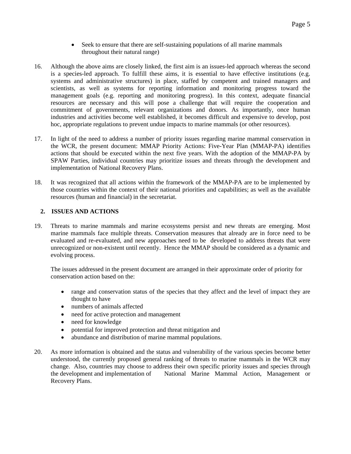- Seek to ensure that there are self-sustaining populations of all marine mammals throughout their natural range)
- 16. Although the above aims are closely linked, the first aim is an issues-led approach whereas the second is a species-led approach. To fulfill these aims, it is essential to have effective institutions (e.g. systems and administrative structures) in place, staffed by competent and trained managers and scientists, as well as systems for reporting information and monitoring progress toward the management goals (e.g. reporting and monitoring progress). In this context, adequate financial resources are necessary and this will pose a challenge that will require the cooperation and commitment of governments, relevant organizations and donors. As importantly, once human industries and activities become well established, it becomes difficult and expensive to develop, post hoc, appropriate regulations to prevent undue impacts to marine mammals (or other resources).
- 17. In light of the need to address a number of priority issues regarding marine mammal conservation in the WCR, the present document: MMAP Priority Actions: Five-Year Plan (MMAP-PA) identifies actions that should be executed within the next five years. With the adoption of the MMAP-PA by SPAW Parties, individual countries may prioritize issues and threats through the development and implementation of National Recovery Plans.
- 18. It was recognized that all actions within the framework of the MMAP-PA are to be implemented by those countries within the context of their national priorities and capabilities; as well as the available resources (human and financial) in the secretariat.

# **2. ISSUES AND ACTIONS**

19. Threats to marine mammals and marine ecosystems persist and new threats are emerging. Most marine mammals face multiple threats. Conservation measures that already are in force need to be evaluated and re-evaluated, and new approaches need to be developed to address threats that were unrecognized or non-existent until recently. Hence the MMAP should be considered as a dynamic and evolving process.

The issues addressed in the present document are arranged in their approximate order of priority for conservation action based on the:

- range and conservation status of the species that they affect and the level of impact they are thought to have
- numbers of animals affected
- need for active protection and management
- need for knowledge
- potential for improved protection and threat mitigation and
- abundance and distribution of marine mammal populations.
- 20. As more information is obtained and the status and vulnerability of the various species become better understood, the currently proposed general ranking of threats to marine mammals in the WCR may change. Also, countries may choose to address their own specific priority issues and species through the development and implementation of National Marine Mammal Action, Management or Recovery Plans.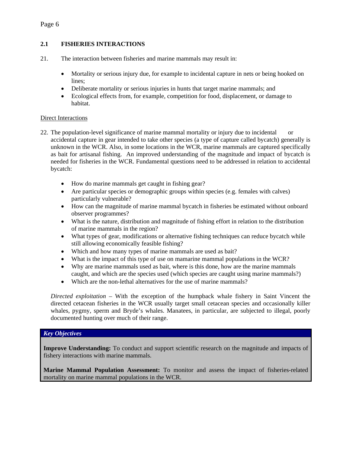# **2.1 FISHERIES INTERACTIONS**

- 21. The interaction between fisheries and marine mammals may result in:
	- Mortality or serious injury due, for example to incidental capture in nets or being hooked on lines;
	- Deliberate mortality or serious injuries in hunts that target marine mammals; and
	- Ecological effects from, for example, competition for food, displacement, or damage to habitat.

# Direct Interactions

- 22. The population-level significance of marine mammal mortality or injury due to incidental or accidental capture in gear intended to take other species (a type of capture called bycatch) generally is unknown in the WCR. Also, in some locations in the WCR, marine mammals are captured specifically as bait for artisanal fishing. An improved understanding of the magnitude and impact of bycatch is needed for fisheries in the WCR. Fundamental questions need to be addressed in relation to accidental bycatch:
	- How do marine mammals get caught in fishing gear?
	- Are particular species or demographic groups within species (e.g. females with calves) particularly vulnerable?
	- How can the magnitude of marine mammal bycatch in fisheries be estimated without onboard observer programmes?
	- What is the nature, distribution and magnitude of fishing effort in relation to the distribution of marine mammals in the region?
	- What types of gear, modifications or alternative fishing techniques can reduce bycatch while still allowing economically feasible fishing?
	- Which and how many types of marine mammals are used as bait?
	- What is the impact of this type of use on mamarine mammal populations in the WCR?
	- Why are marine mammals used as bait, where is this done, how are the marine mammals caught, and which are the species used (which species are caught using marine mammals?)
	- Which are the non-lethal alternatives for the use of marine mammals?

*Directed exploitation* – With the exception of the humpback whale fishery in Saint Vincent the directed cetacean fisheries in the WCR usually target small cetacean species and occasionally killer whales, pygmy, sperm and Bryde's whales. Manatees, in particular, are subjected to illegal, poorly documented hunting over much of their range.

## *Key Objectives*

**Improve Understanding:** To conduct and support scientific research on the magnitude and impacts of fishery interactions with marine mammals.

**Marine Mammal Population Assessment:** To monitor and assess the impact of fisheries-related mortality on marine mammal populations in the WCR.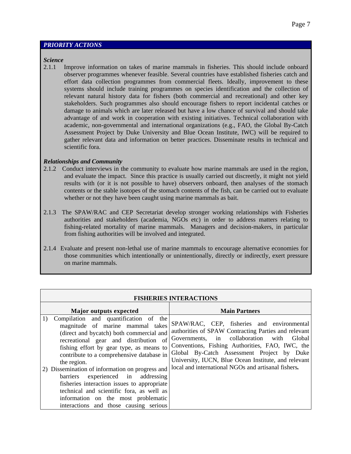#### *PRIORITY ACTIONS*

#### *Science*

2.1.1 Improve information on takes of marine mammals in fisheries. This should include onboard observer programmes whenever feasible. Several countries have established fisheries catch and effort data collection programmes from commercial fleets. Ideally, improvement to these systems should include training programmes on species identification and the collection of relevant natural history data for fishers (both commercial and recreational) and other key stakeholders. Such programmes also should encourage fishers to report incidental catches or damage to animals which are later released but have a low chance of survival and should take advantage of and work in cooperation with existing initiatives. Technical collaboration with academic, non-governmental and international organizations (e.g., FAO, the Global By-Catch Assessment Project by Duke University and Blue Ocean Institute, IWC) will be required to gather relevant data and information on better practices. Disseminate results in technical and scientific fora.

#### *Relationships and Community*

- 2.1.2 Conduct interviews in the community to evaluate how marine mammals are used in the region, and evaluate the impact. Since this practice is usually carried out discreetly, it might not yield results with (or it is not possible to have) observers onboard, then analyses of the stomach contents or the stable isotopes of the stomach contents of the fish, can be carried out to evaluate whether or not they have been caught using marine mammals as bait.
- 2.1.3 The SPAW/RAC and CEP Secretariat develop stronger working relationships with Fisheries authorities and stakeholders (academia, NGOs etc) in order to address matters relating to fishing-related mortality of marine mammals. Managers and decision-makers, in particular from fishing authorities will be involved and integrated.
- 2.1.4 Evaluate and present non-lethal use of marine mammals to encourage alternative economies for those communities which intentionally or unintentionally, directly or indirectly, exert pressure on marine mammals.

| <b>FISHERIES INTERACTIONS</b>                                                                                                                                                                                                                                                                                                                                                                                                                                                                                                                         |                                                                                                                                                                                                                                                                                                                                                                    |  |
|-------------------------------------------------------------------------------------------------------------------------------------------------------------------------------------------------------------------------------------------------------------------------------------------------------------------------------------------------------------------------------------------------------------------------------------------------------------------------------------------------------------------------------------------------------|--------------------------------------------------------------------------------------------------------------------------------------------------------------------------------------------------------------------------------------------------------------------------------------------------------------------------------------------------------------------|--|
| Major outputs expected                                                                                                                                                                                                                                                                                                                                                                                                                                                                                                                                | <b>Main Partners</b>                                                                                                                                                                                                                                                                                                                                               |  |
| Compilation and quantification of the<br>1)<br>magnitude of marine mammal takes<br>(direct and bycatch) both commercial and<br>recreational gear and distribution of<br>fishing effort by gear type, as means to<br>contribute to a comprehensive database in<br>the region.<br>2) Dissemination of information on progress and<br>experienced in addressing<br>barriers<br>fisheries interaction issues to appropriate<br>technical and scientific fora, as well as<br>information on the most problematic<br>interactions and those causing serious | SPAW/RAC, CEP, fisheries and environmental<br>authorities of SPAW Contracting Parties and relevant<br>Governments, in collaboration with<br>Global<br>Conventions, Fishing Authorities, FAO, IWC, the<br>Global By-Catch Assessment Project by Duke<br>University, IUCN, Blue Ocean Institute, and relevant<br>local and international NGOs and artisanal fishers. |  |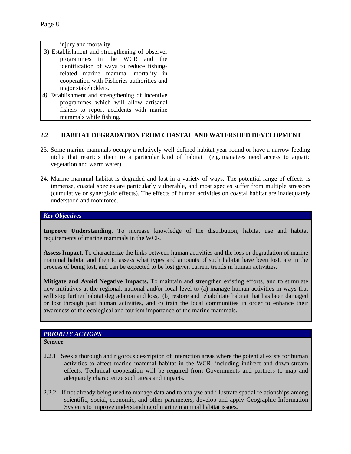| injury and mortality.                           |
|-------------------------------------------------|
| 3) Establishment and strengthening of observer  |
| programmes in the WCR and the                   |
| identification of ways to reduce fishing-       |
| related marine mammal mortality in              |
| cooperation with Fisheries authorities and      |
| major stakeholders.                             |
| 4) Establishment and strengthening of incentive |
| programmes which will allow artisanal           |
| fishers to report accidents with marine         |
| mammals while fishing.                          |

## **2.2 HABITAT DEGRADATION FROM COASTAL AND WATERSHED DEVELOPMENT**

- 23. Some marine mammals occupy a relatively well-defined habitat year-round or have a narrow feeding niche that restricts them to a particular kind of habitat (e.g. manatees need access to aquatic vegetation and warm water).
- 24. Marine mammal habitat is degraded and lost in a variety of ways. The potential range of effects is immense, coastal species are particularly vulnerable, and most species suffer from multiple stressors (cumulative or synergistic effects). The effects of human activities on coastal habitat are inadequately understood and monitored.

## *Key Objectives*

**Improve Understanding.** To increase knowledge of the distribution, habitat use and habitat requirements of marine mammals in the WCR.

**Assess Impact.** To characterize the links between human activities and the loss or degradation of marine mammal habitat and then to assess what types and amounts of such habitat have been lost, are in the process of being lost, and can be expected to be lost given current trends in human activities.

**Mitigate and Avoid Negative Impacts.** To maintain and strengthen existing efforts, and to stimulate new initiatives at the regional, national and/or local level to (a) manage human activities in ways that will stop further habitat degradation and loss, (b) restore and rehabilitate habitat that has been damaged or lost through past human activities, and c) train the local communities in order to enhance their awareness of the ecological and tourism importance of the marine mammals*.*

# *PRIORITY ACTIONS*

*Science* 

- 2.2.1 Seek a thorough and rigorous description of interaction areas where the potential exists for human activities to affect marine mammal habitat in the WCR, including indirect and down-stream effects. Technical cooperation will be required from Governments and partners to map and adequately characterize such areas and impacts.
- 2.2.2 If not already being used to manage data and to analyze and illustrate spatial relationships among scientific, social, economic, and other parameters, develop and apply Geographic Information Systems to improve understanding of marine mammal habitat issues*.*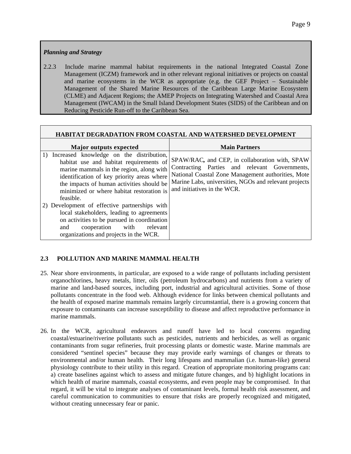# *Planning and Strategy*

2.2.3 Include marine mammal habitat requirements in the national Integrated Coastal Zone Management (ICZM) framework and in other relevant regional initiatives or projects on coastal and marine ecosystems in the WCR as appropriate (e.g. the GEF Project – Sustainable Management of the Shared Marine Resources of the Caribbean Large Marine Ecosystem (CLME) and Adjacent Regions; the AMEP Projects on Integrating Watershed and Coastal Area Management (IWCAM) in the Small Island Development States (SIDS) of the Caribbean and on Reducing Pesticide Run-off to the Caribbean Sea.

| <b>HABITAT DEGRADATION FROM COASTAL AND WATERSHED DEVELOPMENT</b> |
|-------------------------------------------------------------------|
|                                                                   |

| <b>Major outputs expected</b>                                                                                                                                                                                                                                                                                                                                                                                                                                                                                                      | <b>Main Partners</b>                                                                                                                                                                                                                          |
|------------------------------------------------------------------------------------------------------------------------------------------------------------------------------------------------------------------------------------------------------------------------------------------------------------------------------------------------------------------------------------------------------------------------------------------------------------------------------------------------------------------------------------|-----------------------------------------------------------------------------------------------------------------------------------------------------------------------------------------------------------------------------------------------|
| Increased knowledge on the distribution,<br>$\mathbf{D}$<br>habitat use and habitat requirements of<br>marine mammals in the region, along with<br>identification of key priority areas where<br>the impacts of human activities should be<br>minimized or where habitat restoration is<br>feasible.<br>2) Development of effective partnerships with<br>local stakeholders, leading to agreements<br>on activities to be pursued in coordination<br>cooperation with<br>relevant<br>and<br>organizations and projects in the WCR. | SPAW/RAC, and CEP, in collaboration with, SPAW<br>Contracting Parties and relevant Governments,<br>National Coastal Zone Management authorities, Mote<br>Marine Labs, universities, NGOs and relevant projects<br>and initiatives in the WCR. |

# **2.3 POLLUTION AND MARINE MAMMAL HEALTH**

- 25. Near shore environments, in particular, are exposed to a wide range of pollutants including persistent organochlorines, heavy metals, litter, oils (petroleum hydrocarbons) and nutrients from a variety of marine and land-based sources, including port, industrial and agricultural activities. Some of those pollutants concentrate in the food web. Although evidence for links between chemical pollutants and the health of exposed marine mammals remains largely circumstantial, there is a growing concern that exposure to contaminants can increase susceptibility to disease and affect reproductive performance in marine mammals.
- 26. In the WCR, agricultural endeavors and runoff have led to local concerns regarding coastal/estuarine/riverine pollutants such as pesticides, nutrients and herbicides, as well as organic contaminants from sugar refineries, fruit processing plants or domestic waste. Marine mammals are considered "sentinel species" because they may provide early warnings of changes or threats to environmental and/or human health. Their long lifespans and mammalian (i.e. human-like) general physiology contribute to their utility in this regard. Creation of appropriate monitoring programs can: a) create baselines against which to assess and mitigate future changes, and b) highlight locations in which health of marine mammals, coastal ecosystems, and even people may be compromised. In that regard, it will be vital to integrate analyses of contaminant levels, formal health risk assessment, and careful communication to communities to ensure that risks are properly recognized and mitigated, without creating unnecessary fear or panic.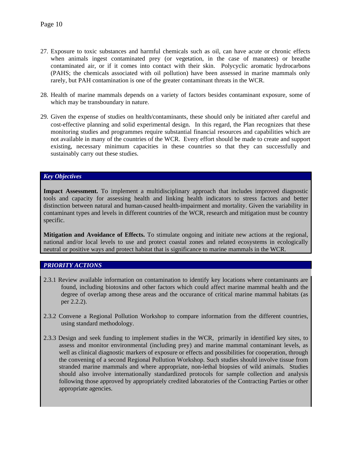- 27. Exposure to toxic substances and harmful chemicals such as oil, can have acute or chronic effects when animals ingest contaminated prey (or vegetation, in the case of manatees) or breathe contaminated air, or if it comes into contact with their skin. Polycyclic aromatic hydrocarbons (PAHS; the chemicals associated with oil pollution) have been assessed in marine mammals only rarely, but PAH contamination is one of the greater contaminant threats in the WCR.
- 28. Health of marine mammals depends on a variety of factors besides contaminant exposure, some of which may be transboundary in nature.
- 29. Given the expense of studies on health/contaminants, these should only be initiated after careful and cost-effective planning and solid experimental design. In this regard, the Plan recognizes that these monitoring studies and programmes require substantial financial resources and capabilities which are not available in many of the countries of the WCR. Every effort should be made to create and support existing, necessary minimum capacities in these countries so that they can successfully and sustainably carry out these studies.

#### *Key Objectives*

**Impact Assessment.** To implement a multidisciplinary approach that includes improved diagnostic tools and capacity for assessing health and linking health indicators to stress factors and better distinction between natural and human-caused health-impairment and mortality. Given the variability in contaminant types and levels in different countries of the WCR, research and mitigation must be country specific.

**Mitigation and Avoidance of Effects.** To stimulate ongoing and initiate new actions at the regional, national and/or local levels to use and protect coastal zones and related ecosystems in ecologically neutral or positive ways and protect habitat that is significance to marine mammals in the WCR.

#### *PRIORITY ACTIONS*

- 2.3.1 Review available information on contamination to identify key locations where contaminants are found, including biotoxins and other factors which could affect marine mammal health and the degree of overlap among these areas and the occurance of critical marine mammal habitats (as per 2.2.2).
- 2.3.2 Convene a Regional Pollution Workshop to compare information from the different countries, using standard methodology.
- 2.3.3 Design and seek funding to implement studies in the WCR, primarily in identified key sites, to assess and monitor environmental (including prey) and marine mammal contaminant levels, as well as clinical diagnostic markers of exposure or effects and possibilities for cooperation, through the convening of a second Regional Pollution Workshop. Such studies should involve tissue from stranded marine mammals and where appropriate, non-lethal biopsies of wild animals*.* Studies should also involve internationally standardized protocols for sample collection and analysis following those approved by appropriately credited laboratories of the Contracting Parties or other appropriate agencies.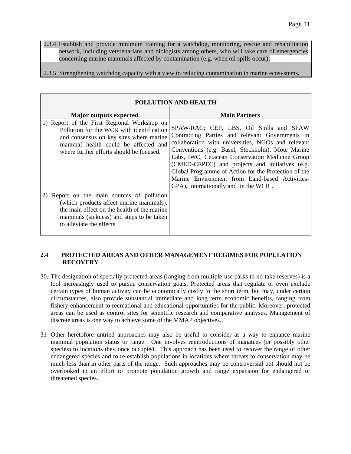2.3.4 Establish and provide minimum training for a watchdog, monitoring, rescue and rehabilitation network, including veterenarians and biologists among others, who will take care of emergencies concerning marine mammals affected by contamination (e.g. when oil spills occur).

2.3.5 Strengthening watchdog capacity with a view to reducing contamination in marine ecosystems*.* 

| POLLUTION AND HEALTH                                                                                                                                                                                                   |                                                                                                                                                                                                                                                                                                                                                                                                                                                               |  |
|------------------------------------------------------------------------------------------------------------------------------------------------------------------------------------------------------------------------|---------------------------------------------------------------------------------------------------------------------------------------------------------------------------------------------------------------------------------------------------------------------------------------------------------------------------------------------------------------------------------------------------------------------------------------------------------------|--|
| <b>Major outputs expected</b>                                                                                                                                                                                          | <b>Main Partners</b>                                                                                                                                                                                                                                                                                                                                                                                                                                          |  |
| 1) Report of the First Regional Workshop on<br>Pollution for the WCR with identification<br>and consensus on key sites where marine<br>mammal health could be affected and<br>where further efforts should be focused. | SPAW/RAC; CEP, LBS, Oil Spills and SPAW<br>Contracting Parties and relevant Governments in<br>collaboration with universities, NGOs and relevant<br>Conventions (e.g. Basel, Stockholm), Mote Marine<br>Labs, IWC, Cetacean Conservation Medicine Group<br>(CMED-CEPEC) and projects and initiatives (e.g.<br>Global Programme of Action for the Protection of the<br>Marine Environment from Land-based Activities-<br>GPA), internationally and in the WCR. |  |
| Report on the main sources of pollution<br>(which products affect marine mammals),<br>the main effect on the health of the marine<br>mammals (sickness) and steps to be taken<br>to alleviate the effects              |                                                                                                                                                                                                                                                                                                                                                                                                                                                               |  |

#### **2.4 PROTECTED AREAS AND OTHER MANAGEMENT REGIMES FOR POPULATION RECOVERY**

- 30. The designation of specially protected areas (ranging from multiple-use parks to no-take reserves) is a tool increasingly used to pursue conservation goals. Protected areas that regulate or even exclude certain types of human activity can be economically costly in the short term, but may, under certain circumstances, also provide substantial immediate and long term economic benefits, ranging from fishery enhancement to recreational and educational opportunities for the public. Moreover, protected areas can be used as control sites for scientific research and comparative analyses. Management of discrete areas is one way to achieve some of the MMAP objectives.
- 31 Other heretofore untried approaches may also be useful to consider as a way to enhance marine mammal population status or range. One involves reintroductions of manatees (or possibly other species) to locations they once occupied. This approach has been used to recover the range of other endangered species and to re-establish populations in locations where threats to conservation may be much less than in other parts of the range. Such approaches may be controversial but should not be overlooked in an effort to promote population growth and range expansion for endangered or threatened species.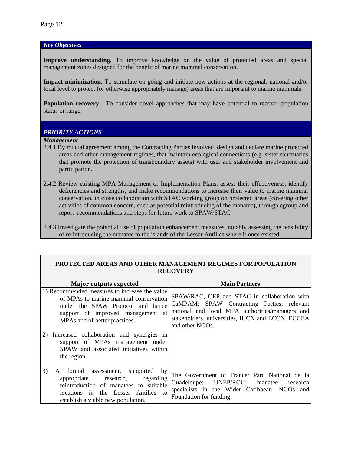## *Key Objectives*

**Improve understanding**. To improve knowledge on the value of protected areas and special management zones designed for the benefit of marine mammal conservation.

**Impact minimization.** To stimulate on-going and initiate new actions at the regional, national and/or local level to protect (or otherwise appropriately manage) areas that are important to marine mammals.

**Population recovery**. To consider novel approaches that may have potential to recover population status or range.

#### *PRIORITY ACTIONS*

#### *Management*

- 2.4.1 By mutual agreement among the Contracting Parties involved, design and declare marine protected areas and other management regimes, that maintain ecological connections (e.g. sister sanctuaries that promote the protection of transboundary assets) with user and stakeholder involvement and participation.
- 2.4.2 Review existing MPA Management or Implementation Plans, assess their effectiveness, identify deficiencies and strengths, and make recommendations to increase their value to marine mammal conservation, in close collaboration with STAC working group on protected areas (covering other activities of common concern, such as potential reintroducing of the manatee), through egroup and report recommendations and steps for future work to SPAW/STAC

| PROTECTED AREAS AND OTHER MANAGEMENT REGIMES FOR POPULATION                                                                                                                                                                  |                                                                                                                                                                                                                      |  |
|------------------------------------------------------------------------------------------------------------------------------------------------------------------------------------------------------------------------------|----------------------------------------------------------------------------------------------------------------------------------------------------------------------------------------------------------------------|--|
|                                                                                                                                                                                                                              | <b>RECOVERY</b>                                                                                                                                                                                                      |  |
| Major outputs expected                                                                                                                                                                                                       | <b>Main Partners</b>                                                                                                                                                                                                 |  |
| 1) Recommended measures to increase the value<br>of MPAs to marine mammal conservation<br>under the SPAW Protocol and hence<br>support of improved management at<br>MPAs and of better practices.                            | SPAW/RAC, CEP and STAC in collaboration with<br>CaMPAM; SPAW Contracting Parties; relevant<br>national and local MPA authorities/managers and<br>stakeholders, universities, IUCN and ECCN, ECCEA<br>and other NGOs. |  |
| 2) Increased collaboration and synergies in<br>support of MPAs management under<br>SPAW and associated initiatives within<br>the region.                                                                                     |                                                                                                                                                                                                                      |  |
| 3)<br>assessment,<br>formal<br>supported<br>by<br>A<br>regarding<br>research,<br>appropriate<br>reintroduction of manatees to suitable<br>the Lesser Antilles<br>locations<br>in<br>to<br>establish a viable new population. | The Government of France: Parc National de la<br>Guadeloupe; UNEP/RCU;<br>manatee<br>research<br>specialists in the Wider Caribbean: NGOs and<br>Foundation for funding.                                             |  |

# **PROTECTED AREAS AND OTHER MANAGEMENT REGIMES FOR POPULATION**

<sup>2.4.3</sup> Investigate the potential use of population enhancement measures, notably assessing the feasibility of re-introducing the manatee to the islands of the Lesser Antilles where it once existed*.*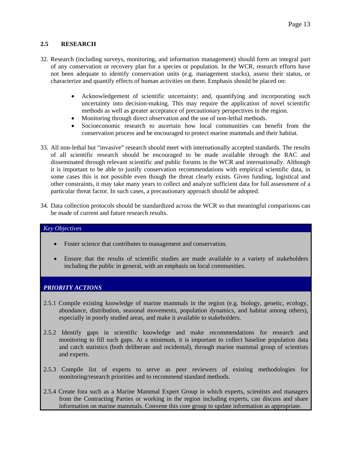## **2.5 RESEARCH**

- 32. Research (including surveys, monitoring, and information management) should form an integral part of any conservation or recovery plan for a species or population. In the WCR, research efforts have not been adequate to identify conservation units (e.g. management stocks), assess their status, or characterize and quantify effects of human activities on them. Emphasis should be placed on:
	- Acknowledgement of scientific uncertainty; and, quantifying and incorporating such uncertainty into decision-making. This may require the application of novel scientific methods as well as greater acceptance of precautionary perspectives in the region.
	- Monitoring through direct observation and the use of non-lethal methods.
	- Socioeconomic research to ascertain how local communities can benefit from the conservation process and be encouraged to protect marine mammals and their habitat.
- 33. All non-lethal but "invasive" research should meet with internationally accepted standards. The results of all scientific research should be encouraged to be made available through the RAC and disseminated through relevant scientific and public forums in the WCR and internationally. Although it is important to be able to justify conservation recommendations with empirical scientific data, in some cases this is not possible even though the threat clearly exists. Given funding, logistical and other constraints, it may take many years to collect and analyze sufficient data for full assessment of a particular threat factor. In such cases, a precautionary approach should be adopted.
- 34. Data collection protocols should be standardized across the WCR so that meaningful comparisons can be made of current and future research results.

#### *Key Objectives*

- Foster science that contributes to management and conservation.
- Ensure that the results of scientific studies are made available to a variety of stakeholders including the public in general, with an emphasis on local communities.

#### *PRIORITY ACTIONS*

- 2.5.1 Compile existing knowledge of marine mammals in the region (e.g. biology, genetic, ecology, abundance, distribution, seasonal movements, population dynamics, and habitat among others), especially in poorly studied areas, and make it available to stakeholders.
- 2.5.2 Identify gaps in scientific knowledge and make recommendations for research and monitoring to fill such gaps. At a minimum, it is important to collect baseline population data and catch statistics (both deliberate and incidental), through marine mammal group of scientists and experts.
- 2.5.3 Compile list of experts to serve as peer reviewers of existing methodologies for monitoring/research priorities and to recommend standard methods.
- 2.5.4 Create fora such as a Marine Mammal Expert Group in which experts, scientists and managers from the Contracting Parties or working in the region including experts, can discuss and share information on marine mammals. Convene this core group to update information as appropriate.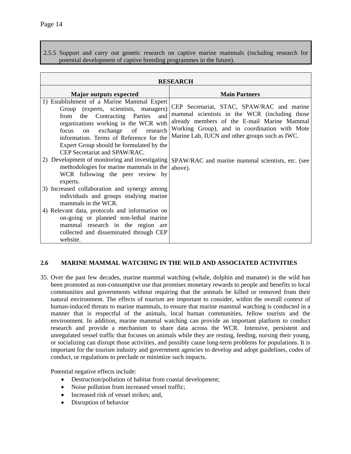2.5.5 Support and carry out genetic research on captive marine mammals (including research for potential development of captive breeding programmes in the future).

|                                                                                                                                                                                                                                                                                                                                                                                                                                               | <b>RESEARCH</b>                                                                                                                                                                                                                                                                                   |
|-----------------------------------------------------------------------------------------------------------------------------------------------------------------------------------------------------------------------------------------------------------------------------------------------------------------------------------------------------------------------------------------------------------------------------------------------|---------------------------------------------------------------------------------------------------------------------------------------------------------------------------------------------------------------------------------------------------------------------------------------------------|
| <b>Major outputs expected</b>                                                                                                                                                                                                                                                                                                                                                                                                                 | <b>Main Partners</b>                                                                                                                                                                                                                                                                              |
| 1) Establishment of a Marine Mammal Expert<br>Group (experts, scientists, managers)<br>the Contracting Parties<br>and<br>from<br>organizations working in the WCR with<br>exchange of research<br>focus<br><sub>on</sub><br>information. Terms of Reference for the<br>Expert Group should be formulated by the<br>CEP Secretariat and SPAW/RAC.<br>2) Development of monitoring and investigating<br>methodologies for marine mammals in the | CEP Secretariat, STAC, SPAW/RAC and marine<br>mammal scientists in the WCR (including those<br>already members of the E-mail Marine Mammal<br>Working Group), and in coordination with Mote<br>Marine Lab, IUCN and other groups such as IWC.<br>SPAW/RAC and marine mammal scientists, etc. (see |
| WCR following the peer review by<br>experts.                                                                                                                                                                                                                                                                                                                                                                                                  | above).                                                                                                                                                                                                                                                                                           |
| 3) Increased collaboration and synergy among<br>individuals and groups studying marine<br>mammals in the WCR.                                                                                                                                                                                                                                                                                                                                 |                                                                                                                                                                                                                                                                                                   |
| 4) Relevant data, protocols and information on<br>on-going or planned non-lethal marine<br>mammal research in the region are<br>collected and disseminated through CEP<br>website.                                                                                                                                                                                                                                                            |                                                                                                                                                                                                                                                                                                   |

#### **2.6 MARINE MAMMAL WATCHING IN THE WILD AND ASSOCIATED ACTIVITIES**

35. Over the past few decades, marine mammal watching (whale, dolphin and manatee) in the wild has been promoted as non-consumptive use that promises monetary rewards to people and benefits to local communities and governments without requiring that the animals be killed or removed from their natural environment. The effects of tourism are important to consider, within the overall context of human-induced threats to marine mammals, to ensure that marine mammal watching is conducted in a manner that is respectful of the animals, local human communities, fellow tourists and the environment*.* In addition, marine mammal watching can provide an important platform to conduct research and provide a mechanism to share data across the WCR. Intensive, persistent and unregulated vessel traffic that focuses on animals while they are resting, feeding, nursing their young, or socializing can disrupt those activities, and possibly cause long-term problems for populations. It is important for the tourism industry and government agencies to develop and adopt guidelines, codes of conduct, or regulations to preclude or minimize such impacts.

Potential negative effects include:

- Destruction/pollution of habitat from coastal development;
- Noise pollution from increased vessel traffic;
- Increased risk of vessel strikes; and,
- Disruption of behavior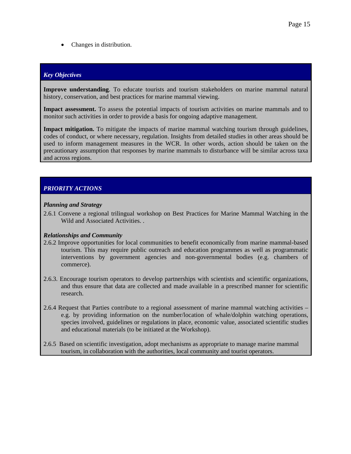• Changes in distribution.

## *Key Objectives*

**Improve understanding**. To educate tourists and tourism stakeholders on marine mammal natural history, conservation, and best practices for marine mammal viewing.

Impact assessment. To assess the potential impacts of tourism activities on marine mammals and to monitor such activities in order to provide a basis for ongoing adaptive management.

**Impact mitigation.** To mitigate the impacts of marine mammal watching tourism through guidelines, codes of conduct, or where necessary, regulation. Insights from detailed studies in other areas should be used to inform management measures in the WCR. In other words, action should be taken on the precautionary assumption that responses by marine mammals to disturbance will be similar across taxa and across regions.

# *PRIORITY ACTIONS*

#### *Planning and Strategy*

2.6.1 Convene a regional trilingual workshop on Best Practices for Marine Mammal Watching in the Wild and Associated Activities. .

#### *Relationships and Community*

- 2.6.2 Improve opportunities for local communities to benefit economically from marine mammal-based tourism. This may require public outreach and education programmes as well as programmatic interventions by government agencies and non-governmental bodies (e.g. chambers of commerce).
- 2.6.3. Encourage tourism operators to develop partnerships with scientists and scientific organizations, and thus ensure that data are collected and made available in a prescribed manner for scientific research.
- 2.6.4 Request that Parties contribute to a regional assessment of marine mammal watching activities e.g. by providing information on the number/location of whale/dolphin watching operations, species involved, guidelines or regulations in place, economic value, associated scientific studies and educational materials (to be initiated at the Workshop).
- 2.6.5 Based on scientific investigation, adopt mechanisms as appropriate to manage marine mammal tourism, in collaboration with the authorities, local community and tourist operators.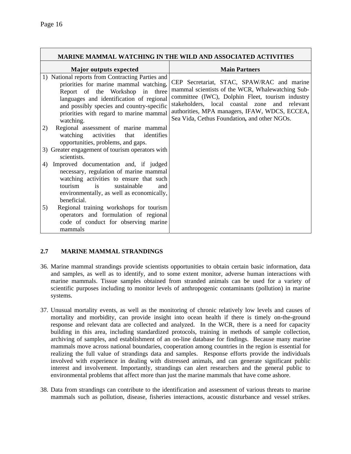|                                                                                                                                                                                                                                                                                | <b>MARINE MAMMAL WATCHING IN THE WILD AND ASSOCIATED ACTIVITIES</b>                                                                                                                                                                                                                                  |
|--------------------------------------------------------------------------------------------------------------------------------------------------------------------------------------------------------------------------------------------------------------------------------|------------------------------------------------------------------------------------------------------------------------------------------------------------------------------------------------------------------------------------------------------------------------------------------------------|
| Major outputs expected                                                                                                                                                                                                                                                         | <b>Main Partners</b>                                                                                                                                                                                                                                                                                 |
| 1) National reports from Contracting Parties and<br>priorities for marine mammal watching.<br>Report of the Workshop in three<br>languages and identification of regional<br>and possibly species and country-specific<br>priorities with regard to marine mammal<br>watching. | CEP Secretariat, STAC, SPAW/RAC and marine<br>mammal scientists of the WCR, Whalewatching Sub-<br>committee (IWC), Dolphin Fleet, tourism industry<br>stakeholders, local coastal zone and relevant<br>authorities, MPA managers, IFAW, WDCS, ECCEA,<br>Sea Vida, Cethus Foundation, and other NGOs. |
| Regional assessment of marine mammal<br>2)<br>watching activities that<br>identifies<br>opportunities, problems, and gaps.                                                                                                                                                     |                                                                                                                                                                                                                                                                                                      |
| 3) Greater engagement of tourism operators with<br>scientists.                                                                                                                                                                                                                 |                                                                                                                                                                                                                                                                                                      |
| Improved documentation and, if judged<br>4)<br>necessary, regulation of marine mammal<br>watching activities to ensure that such<br>is<br>sustainable<br>tourism<br>and<br>environmentally, as well as economically,<br>beneficial.                                            |                                                                                                                                                                                                                                                                                                      |
| Regional training workshops for tourism<br>5)<br>operators and formulation of regional<br>code of conduct for observing marine<br>mammals                                                                                                                                      |                                                                                                                                                                                                                                                                                                      |

## **2.7 MARINE MAMMAL STRANDINGS**

- 36. Marine mammal strandings provide scientists opportunities to obtain certain basic information, data and samples, as well as to identify, and to some extent monitor, adverse human interactions with marine mammals. Tissue samples obtained from stranded animals can be used for a variety of scientific purposes including to monitor levels of anthropogenic contaminants (pollution) in marine systems.
- 37. Unusual mortality events, as well as the monitoring of chronic relatively low levels and causes of mortality and morbidity, can provide insight into ocean health if there is timely on-the-ground response and relevant data are collected and analyzed. In the WCR, there is a need for capacity building in this area, including standardized protocols, training in methods of sample collection, archiving of samples, and establishment of an on-line database for findings. Because many marine mammals move across national boundaries, cooperation among countries in the region is essential for realizing the full value of strandings data and samples. Response efforts provide the individuals involved with experience in dealing with distressed animals, and can generate significant public interest and involvement. Importantly, strandings can alert researchers and the general public to environmental problems that affect more than just the marine mammals that have come ashore.
- 38. Data from strandings can contribute to the identification and assessment of various threats to marine mammals such as pollution, disease, fisheries interactions, acoustic disturbance and vessel strikes.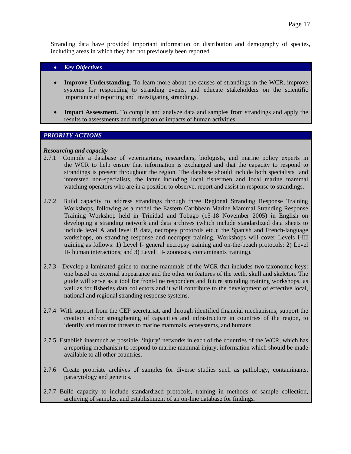Stranding data have provided important information on distribution and demography of species, including areas in which they had not previously been reported.

#### • *Key Objectives*

- **Improve Understanding**. To learn more about the causes of strandings in the WCR, improve systems for responding to stranding events, and educate stakeholders on the scientific importance of reporting and investigating strandings.
- **Impact Assessment.** To compile and analyze data and samples from strandings and apply the results to assessments and mitigation of impacts of human activities.

## *PRIORITY ACTIONS*

#### *Resourcing and capacity*

- 2.7.1 Compile a database of veterinarians, researchers, biologists, and marine policy experts in the WCR to help ensure that information is exchanged and that the capacity to respond to strandings is present throughout the region. The database should include both specialists and interested non-specialists, the latter including local fishermen and local marine mammal watching operators who are in a position to observe, report and assist in response to strandings.
- 2.7.2 Build capacity to address strandings through three Regional Stranding Response Training Workshops, following as a model the Eastern Caribbean Marine Mammal Stranding Response Training Workshop held in Trinidad and Tobago (15-18 November 2005) in English on developing a stranding network and data archives (which include standardized data sheets to include level A and level B data, necropsy protocols etc.); the Spanish and French-language workshops, on stranding response and necropsy training. Workshops will cover Levels I-III training as follows: 1) Level I- general necropsy training and on-the-beach protocols: 2) Level II- human interactions; and 3) Level III- zoonoses, contaminants training).
- 2.7.3 Develop a laminated guide to marine mammals of the WCR that includes two taxonomic keys: one based on external appearance and the other on features of the teeth, skull and skeleton. The guide will serve as a tool for front-line responders and future stranding training workshops, as well as for fisheries data collectors and it will contribute to the development of effective local, national and regional stranding response systems.
- 2.7.4 With support from the CEP secretariat, and through identified financial mechanisms, support the creation and/or strengthening of capacities and infrastructure in countries of the region, to identify and monitor threats to marine mammals, ecosystems, and humans.
- 2.7.5Establish inasmuch as possible, 'injury' networks in each of the countries of the WCR, which has a reporting mechanism to respond to marine mammal injury, information which should be made available to all other countries.
- 2.7.6 Create propriate archives of samples for diverse studies such as pathology, contaminants, paracytology and genetics.
- 2.7.7 Build capacity to include standardized protocols, training in methods of sample collection, archiving of samples, and establishment of an on-line database for findings*.*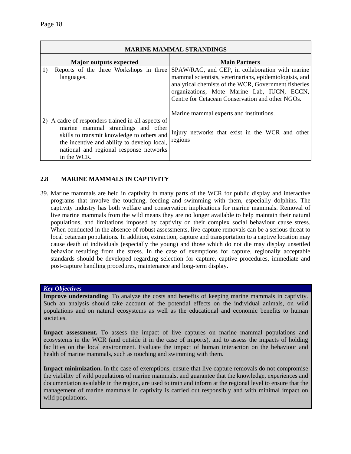|                                                                                                                                                                                                                                                 | <b>MARINE MAMMAL STRANDINGS</b>                                                                                                                                                                                                                                      |
|-------------------------------------------------------------------------------------------------------------------------------------------------------------------------------------------------------------------------------------------------|----------------------------------------------------------------------------------------------------------------------------------------------------------------------------------------------------------------------------------------------------------------------|
| <b>Major outputs expected</b>                                                                                                                                                                                                                   | <b>Main Partners</b>                                                                                                                                                                                                                                                 |
| 1)<br>Reports of the three Workshops in three<br>languages.                                                                                                                                                                                     | SPAW/RAC, and CEP, in collaboration with marine<br>mammal scientists, veterinarians, epidemiologists, and<br>analytical chemists of the WCR, Government fisheries<br>organizations, Mote Marine Lab, IUCN, ECCN,<br>Centre for Cetacean Conservation and other NGOs. |
| 2) A cadre of responders trained in all aspects of<br>marine mammal strandings and other<br>skills to transmit knowledge to others and<br>the incentive and ability to develop local,<br>national and regional response networks<br>in the WCR. | Marine mammal experts and institutions.<br>Injury networks that exist in the WCR and other<br>regions                                                                                                                                                                |

## **2.8 MARINE MAMMALS IN CAPTIVITY**

39. Marine mammals are held in captivity in many parts of the WCR for public display and interactive programs that involve the touching, feeding and swimming with them, especially dolphins. The captivity industry has both welfare and conservation implications for marine mammals. Removal of live marine mammals from the wild means they are no longer available to help maintain their natural populations, and limitations imposed by captivity on their complex social behaviour cause stress. When conducted in the absence of robust assessments, live-capture removals can be a serious threat to local cetacean populations*.* In addition, extraction, capture and transportation to a captive location may cause death of individuals (especially the young) and those which do not die may display unsettled behavior resulting from the stress. In the case of exemptions for capture, regionally acceptable standards should be developed regarding selection for capture, captive procedures, immediate and post-capture handling procedures, maintenance and long-term display.

#### *Key Objectives*

**Improve understanding**. To analyze the costs and benefits of keeping marine mammals in captivity. Such an analysis should take account of the potential effects on the individual animals, on wild populations and on natural ecosystems as well as the educational and economic benefits to human societies.

**Impact assessment.** To assess the impact of live captures on marine mammal populations and ecosystems in the WCR (and outside it in the case of imports), and to assess the impacts of holding facilities on the local environment. Evaluate the impact of human interaction on the behaviour and health of marine mammals, such as touching and swimming with them.

Impact minimization. In the case of exemptions, ensure that live capture removals do not compromise the viability of wild populations of marine mammals, and guarantee that the knowledge, experiences and documentation available in the region, are used to train and inform at the regional level to ensure that the management of marine mammals in captivity is carried out responsibly and with minimal impact on wild populations.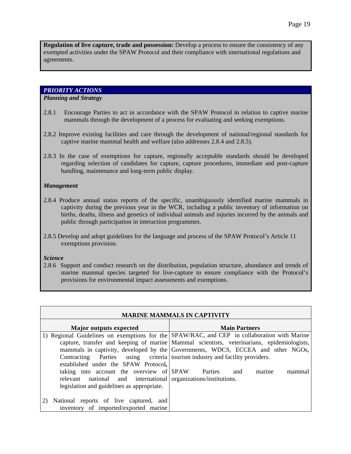**Regulation of live capture, trade and possession:** Develop a process to ensure the consistency of any exempted activities under the SPAW Protocol and their compliance with international regulations and agreements.

### *PRIORITY ACTIONS*

#### *Planning and Strategy*

- 2.8.1 Encourage Parties to act in accordance with the SPAW Protocol in relation to captive marine mammals through the development of a process for evaluating and seeking exemptions.
- 2.8.2 Improve existing facilities and care through the development of national/regional standards for captive marine mammal health and welfare (also addresses 2.8.4 and 2.8.5).
- 2.8.3 In the case of exemptions for capture, regionally acceptable standards should be developed regarding selection of candidates for capture, capture procedures, immediate and post-capture handling, maintenance and long-term public display.

#### *Management*

- 2.8.4 Produce annual status reports of the specific, unambiguously identified marine mammals in captivity during the previous year in the WCR, including a public inventory of information on births, deaths, illness and genetics of individual animals and injuries incurred by the animals and public through participation in interaction programmes.
- 2.8.5 Develop and adopt guidelines for the language and process of the SPAW Protocol's Article 11 exemptions provision.

## *Science*

2.8.6 Support and conduct research on the distribution, population structure, abundance and trends of marine mammal species targeted for live-capture to ensure compliance with the Protocol's provisions for environmental impact assessments and exemptions.

| <b>MARINE MAMMALS IN CAPTIVITY</b>                                                                                                                        |                                                                                                                                                                                                                                                                              |  |
|-----------------------------------------------------------------------------------------------------------------------------------------------------------|------------------------------------------------------------------------------------------------------------------------------------------------------------------------------------------------------------------------------------------------------------------------------|--|
| <b>Major outputs expected</b>                                                                                                                             | <b>Main Partners</b>                                                                                                                                                                                                                                                         |  |
|                                                                                                                                                           | 1) Regional Guidelines on exemptions for the SPAW/RAC, and CEP in collaboration with Marine<br>capture, transfer and keeping of marine Mammal scientists, veterinarians, epidemiologists,<br>mammals in captivity, developed by the Governments, WDCS, ECCEA and other NGOs, |  |
| Contracting Parties using criteria tourism industry and facility providers.<br>established under the SPAW Protocol,                                       |                                                                                                                                                                                                                                                                              |  |
| taking into account the overview of SPAW<br>relevant national and international organizations/institutions.<br>legislation and guidelines as appropriate. | <b>Parties</b><br>marine<br>and<br>mammal                                                                                                                                                                                                                                    |  |
| National reports of live captured, and<br>inventory of imported/exported marine                                                                           |                                                                                                                                                                                                                                                                              |  |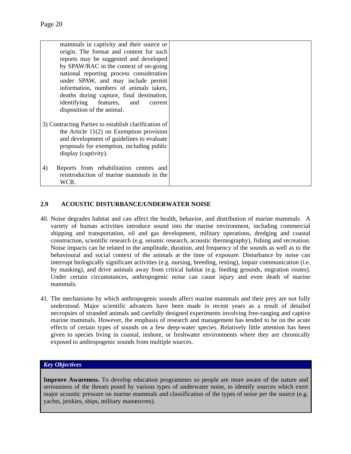| mammals in captivity and their source or             |  |
|------------------------------------------------------|--|
| origin. The format and content for such              |  |
| reports may be suggested and developed               |  |
| by SPAW/RAC in the context of on-going               |  |
| national reporting process consideration             |  |
| under SPAW, and may include permit                   |  |
| information, numbers of animals taken,               |  |
| deaths during capture, final destination,            |  |
| identifying features, and<br>current                 |  |
| disposition of the animal.                           |  |
|                                                      |  |
| 3) Contracting Parties to establish clarification of |  |
| the Article $11(2)$ on Exemption provision           |  |
| and development of guidelines to evaluate            |  |
| proposals for exemption, including public            |  |
| display (captivity).                                 |  |
|                                                      |  |
| Reports from rehabilitation centres and<br>4)        |  |
| reintroduction of marine mammals in the              |  |
| WCR.                                                 |  |

## **2.9 ACOUSTIC DISTURBANCE/UNDERWATER NOISE**

- 40. Noise degrades habitat and can affect the health, behavior, and distribution of marine mammals. A variety of human activities introduce sound into the marine environment, including commercial shipping and transportation, oil and gas development, military operations, dredging and coastal construction, scientific research (e.g. seismic research, acoustic thermography), fishing and recreation. Noise impacts can be related to the amplitude, duration, and frequency of the sounds as well as to the behavioural and social context of the animals at the time of exposure. Disturbance by noise can interrupt biologically significant activities (e.g. nursing, breeding, resting), impair communication (i.e. by masking), and drive animals away from critical habitat (e.g. feeding grounds, migration routes). Under certain circumstances, anthropogenic noise can cause injury and even death of marine mammals.
- 41. The mechanisms by which anthropogenic sounds affect marine mammals and their prey are not fully understood. Major scientific advances have been made in recent years as a result of detailed necropsies of stranded animals and carefully designed experiments involving free-ranging and captive marine mammals. However, the emphasis of research and management has tended to be on the acute effects of certain types of sounds on a few deep-water species. Relatively little attention has been given to species living in coastal, inshore, or freshwater environments where they are chronically exposed to anthropogenic sounds from multiple sources.

#### *Key Objectives*

**Improve Awareness.** To develop education programmes so people are more aware of the nature and seriousness of the threats posed by various types of underwater noise, to identify sources which exert major acoustic pressure on marine mammals and classification of the types of noise per the source (e.g. yachts, jetskies, ships, military manœuvres).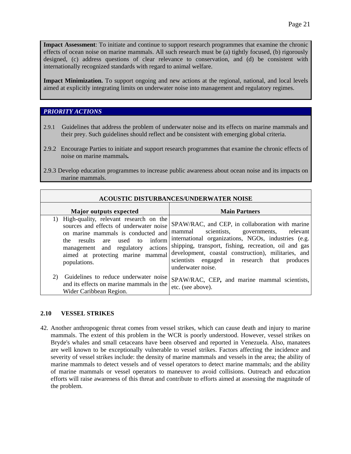**Impact Assessment**: To initiate and continue to support research programmes that examine the chronic effects of ocean noise on marine mammals. All such research must be (a) tightly focused, (b) rigorously designed, (c) address questions of clear relevance to conservation, and (d) be consistent with internationally recognized standards with regard to animal welfare.

**Impact Minimization.** To support ongoing and new actions at the regional, national, and local levels aimed at explicitly integrating limits on underwater noise into management and regulatory regimes.

#### *PRIORITY ACTIONS*

- 2.9.1Guidelines that address the problem of underwater noise and its effects on marine mammals and their prey. Such guidelines should reflect and be consistent with emerging global criteria.
- 2.9.2 Encourage Parties to initiate and support research programmes that examine the chronic effects of noise on marine mammals*.*
- 2.9.3 Develop education programmes to increase public awareness about ocean noise and its impacts on marine mammals.

|                                                                                                                                                                                                                                                              | <b>ACOUSTIC DISTURBANCES/UNDERWATER NOISE</b>                                                                                                                                                                                                                                                                                           |
|--------------------------------------------------------------------------------------------------------------------------------------------------------------------------------------------------------------------------------------------------------------|-----------------------------------------------------------------------------------------------------------------------------------------------------------------------------------------------------------------------------------------------------------------------------------------------------------------------------------------|
| Major outputs expected                                                                                                                                                                                                                                       | <b>Main Partners</b>                                                                                                                                                                                                                                                                                                                    |
| 1) High-quality, relevant research on the<br>sources and effects of underwater noise<br>on marine mammals is conducted and<br>results are used to<br>inform<br>the<br>management and regulatory actions<br>aimed at protecting marine mammal<br>populations. | SPAW/RAC, and CEP, in collaboration with marine<br>mammal scientists, governments, relevant<br>international organizations, NGOs, industries (e.g.<br>shipping, transport, fishing, recreation, oil and gas<br>development, coastal construction), militaries, and<br>scientists engaged in research that produces<br>underwater noise. |
| Guidelines to reduce underwater noise<br>2)<br>and its effects on marine mammals in the<br>Wider Caribbean Region.                                                                                                                                           | SPAW/RAC, CEP, and marine mammal scientists,<br>etc. (see above).                                                                                                                                                                                                                                                                       |

#### **2.10 VESSEL STRIKES**

42. Another anthropogenic threat comes from vessel strikes, which can cause death and injury to marine mammals. The extent of this problem in the WCR is poorly understood. However, vessel strikes on Bryde's whales and small cetaceans have been observed and reported in Venezuela. Also, manatees are well known to be exceptionally vulnerable to vessel strikes. Factors affecting the incidence and severity of vessel strikes include: the density of marine mammals and vessels in the area; the ability of marine mammals to detect vessels and of vessel operators to detect marine mammals; and the ability of marine mammals or vessel operators to maneuver to avoid collisions. Outreach and education efforts will raise awareness of this threat and contribute to efforts aimed at assessing the magnitude of the problem.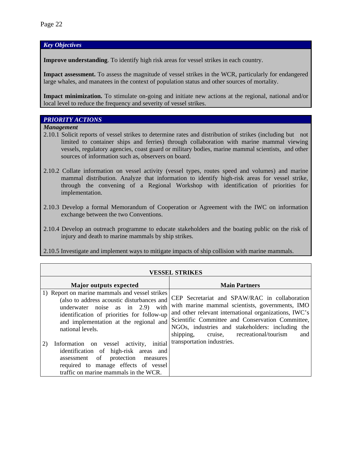*Key Objectives* 

**Improve understanding**. To identify high risk areas for vessel strikes in each country.

**Impact assessment.** To assess the magnitude of vessel strikes in the WCR, particularly for endangered large whales, and manatees in the context of population status and other sources of mortality.

**Impact minimization.** To stimulate on-going and initiate new actions at the regional, national and/or local level to reduce the frequency and severity of vessel strikes.

#### *PRIORITY ACTIONS*

*Management* 

- 2.10.1 Solicit reports of vessel strikes to determine rates and distribution of strikes (including but not limited to container ships and ferries) through collaboration with marine mammal viewing vessels, regulatory agencies, coast guard or military bodies, marine mammal scientists, and other sources of information such as, observers on board.
- 2.10.2 Collate information on vessel activity (vessel types, routes speed and volumes) and marine mammal distribution. Analyze that information to identify high-risk areas for vessel strike, through the convening of a Regional Workshop with identification of priorities for implementation.
- 2.10.3 Develop a formal Memorandum of Cooperation or Agreement with the IWC on information exchange between the two Conventions.
- 2.10.4 Develop an outreach programme to educate stakeholders and the boating public on the risk of injury and death to marine mammals by ship strikes.
- 2.10.5 Investigate and implement ways to mitigate impacts of ship collision with marine mammals.

|                                                                                                                                                                                                                                              | <b>VESSEL STRIKES</b>                                                                                                                                                                                                                                                                                              |
|----------------------------------------------------------------------------------------------------------------------------------------------------------------------------------------------------------------------------------------------|--------------------------------------------------------------------------------------------------------------------------------------------------------------------------------------------------------------------------------------------------------------------------------------------------------------------|
| <b>Major outputs expected</b>                                                                                                                                                                                                                | <b>Main Partners</b>                                                                                                                                                                                                                                                                                               |
| 1) Report on marine mammals and vessel strikes<br>(also to address acoustic disturbances and<br>underwater noise as in 2.9) with<br>identification of priorities for follow-up<br>and implementation at the regional and<br>national levels. | CEP Secretariat and SPAW/RAC in collaboration<br>with marine mammal scientists, governments, IMO<br>and other relevant international organizations, IWC's<br>Scientific Committee and Conservation Committee,<br>NGOs, industries and stakeholders: including the<br>shipping, cruise, recreational/tourism<br>and |
| Information on vessel activity,<br>initial<br>2)<br>identification of high-risk areas and<br>assessment of protection<br>measures<br>required to manage effects of vessel<br>traffic on marine mammals in the WCR.                           | transportation industries.                                                                                                                                                                                                                                                                                         |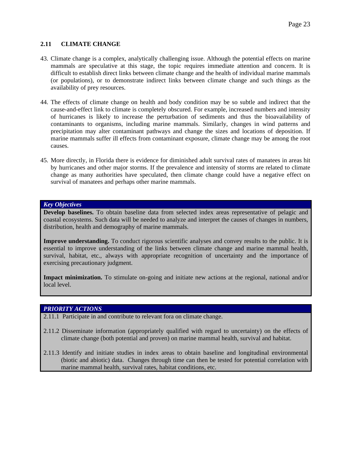## **2.11 CLIMATE CHANGE**

- 43. Climate change is a complex, analytically challenging issue. Although the potential effects on marine mammals are speculative at this stage, the topic requires immediate attention and concern. It is difficult to establish direct links between climate change and the health of individual marine mammals (or populations), or to demonstrate indirect links between climate change and such things as the availability of prey resources.
- 44. The effects of climate change on health and body condition may be so subtle and indirect that the cause-and-effect link to climate is completely obscured. For example, increased numbers and intensity of hurricanes is likely to increase the perturbation of sediments and thus the bioavailability of contaminants to organisms, including marine mammals. Similarly, changes in wind patterns and precipitation may alter contaminant pathways and change the sizes and locations of deposition. If marine mammals suffer ill effects from contaminant exposure, climate change may be among the root causes.
- 45. More directly, in Florida there is evidence for diminished adult survival rates of manatees in areas hit by hurricanes and other major storms. If the prevalence and intensity of storms are related to climate change as many authorities have speculated, then climate change could have a negative effect on survival of manatees and perhaps other marine mammals.

#### *Key Objectives*

**Develop baselines.** To obtain baseline data from selected index areas representative of pelagic and coastal ecosystems. Such data will be needed to analyze and interpret the causes of changes in numbers, distribution, health and demography of marine mammals.

**Improve understanding.** To conduct rigorous scientific analyses and convey results to the public. It is essential to improve understanding of the links between climate change and marine mammal health, survival, habitat, etc., always with appropriate recognition of uncertainty and the importance of exercising precautionary judgment.

**Impact minimization.** To stimulate on-going and initiate new actions at the regional, national and/or local level.

#### *PRIORITY ACTIONS*

- 2.11.1 Participate in and contribute to relevant fora on climate change.
- 2.11.2 Disseminate information (appropriately qualified with regard to uncertainty) on the effects of climate change (both potential and proven) on marine mammal health, survival and habitat.
- 2.11.3 Identify and initiate studies in index areas to obtain baseline and longitudinal environmental (biotic and abiotic) data. Changes through time can then be tested for potential correlation with marine mammal health, survival rates, habitat conditions, etc.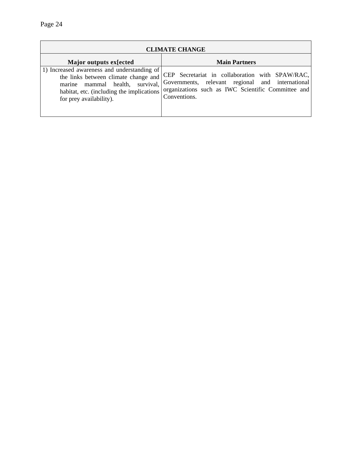|                                                                                                                                                                                                | <b>CLIMATE CHANGE</b>                                                                                                                                                     |
|------------------------------------------------------------------------------------------------------------------------------------------------------------------------------------------------|---------------------------------------------------------------------------------------------------------------------------------------------------------------------------|
| Major outputs ex[ected]                                                                                                                                                                        | <b>Main Partners</b>                                                                                                                                                      |
| 1) Increased awareness and understanding of<br>the links between climate change and<br>marine mammal health, survival,<br>habitat, etc. (including the implications<br>for prey availability). | CEP Secretariat in collaboration with SPAW/RAC,<br>Governments, relevant regional and international<br>organizations such as IWC Scientific Committee and<br>Conventions. |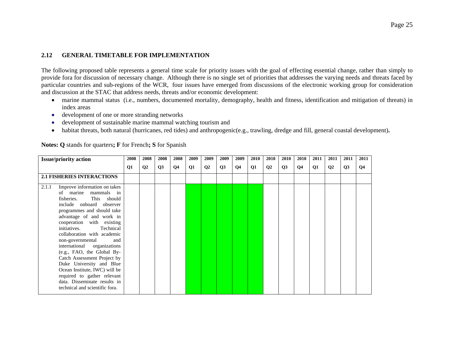#### **2.12 GENERAL TIMETABLE FOR IMPLEMENTATION**

The following proposed table represents a general time scale for priority issues with the goal of effecting essential change, rather than simply to provide fora for discussion of necessary change. Although there is no single set of priorities that addresses the varying needs and threats faced by particular countries and sub-regions of the WCR, four issues have emerged from discussions of the electronic working group for consideration and discussion at the STAC that address needs, threats and/or economic development:

- marine mammal status (i.e., numbers, documented mortality, demography, health and fitness, identification and mitigation of threats) in index areas
- development of one or more stranding networks
- •development of sustainable marine mammal watching tourism and
- •habitat threats, both natural (hurricanes, red tides) and anthropogenic(e.g., trawling, dredge and fill, general coastal development)**.**

| <b>Issue/priority action</b>                                                                                                                                                                                                                                                                                                                                                                                                                                                                                                                                      | 2008 | 2008           | 2008 | 2008      | 2009          | 2009           | 2009 | 2009 | 2010      | 2010           | 2010 | 2010      | 2011      | 2011         | 2011 | 2011 |
|-------------------------------------------------------------------------------------------------------------------------------------------------------------------------------------------------------------------------------------------------------------------------------------------------------------------------------------------------------------------------------------------------------------------------------------------------------------------------------------------------------------------------------------------------------------------|------|----------------|------|-----------|---------------|----------------|------|------|-----------|----------------|------|-----------|-----------|--------------|------|------|
|                                                                                                                                                                                                                                                                                                                                                                                                                                                                                                                                                                   | Q1   | Q <sub>2</sub> | Q3   | <b>O4</b> | $\mathbf{Q1}$ | Q <sub>2</sub> | Q3   | Q4   | <b>Q1</b> | Q <sub>2</sub> | Q3   | <b>O4</b> | <b>Q1</b> | $\mathbf{Q}$ | Q3   | Q4   |
| <b>2.1 FISHERIES INTERACTIONS</b>                                                                                                                                                                                                                                                                                                                                                                                                                                                                                                                                 |      |                |      |           |               |                |      |      |           |                |      |           |           |              |      |      |
| Improve information on takes<br>2.1.1<br>of marine<br>mammals in<br>fisheries.<br>This should<br>include onboard observer<br>programmes and should take<br>advantage of and work in<br>cooperation with existing<br>initiatives.<br>Technical<br>collaboration with academic<br>non-governmental<br>and<br>international organizations<br>(e.g., FAO, the Global By-<br>Catch Assessment Project by<br>Duke University and Blue<br>Ocean Institute, IWC) will be<br>required to gather relevant<br>data. Disseminate results in<br>technical and scientific fora. |      |                |      |           |               |                |      |      |           |                |      |           |           |              |      |      |

**Notes: Q** stands for quarters**; F** for French**; S** for Spanish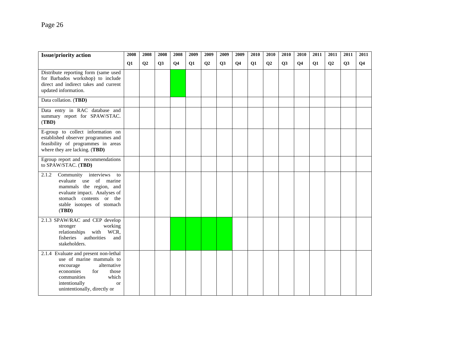| <b>Issue/priority action</b>                                                                                                                                                                                     | 2008      | 2008           | 2008 | 2008           | 2009 | 2009           | 2009 | 2009           | 2010 | 2010           | 2010 | 2010           | 2011          | 2011           | 2011 | 2011           |
|------------------------------------------------------------------------------------------------------------------------------------------------------------------------------------------------------------------|-----------|----------------|------|----------------|------|----------------|------|----------------|------|----------------|------|----------------|---------------|----------------|------|----------------|
|                                                                                                                                                                                                                  | <b>Q1</b> | Q <sub>2</sub> | Q3   | Q <sub>4</sub> | Q1   | Q <sub>2</sub> | Q3   | Q <sub>4</sub> | Q1   | Q <sub>2</sub> | Q3   | Q <sub>4</sub> | $\mathbf{Q1}$ | Q <sub>2</sub> | Q3   | Q <sub>4</sub> |
| Distribute reporting form (same used<br>for Barbados workshop) to include<br>direct and indirect takes and current<br>updated information.                                                                       |           |                |      |                |      |                |      |                |      |                |      |                |               |                |      |                |
| Data collation. (TBD)                                                                                                                                                                                            |           |                |      |                |      |                |      |                |      |                |      |                |               |                |      |                |
| Data entry in RAC database and<br>summary report for SPAW/STAC.<br>(TBD)                                                                                                                                         |           |                |      |                |      |                |      |                |      |                |      |                |               |                |      |                |
| E-group to collect information on<br>established observer programmes and<br>feasibility of programmes in areas<br>where they are lacking. (TBD)                                                                  |           |                |      |                |      |                |      |                |      |                |      |                |               |                |      |                |
| Egroup report and recommendations<br>to SPAW/STAC. (TBD)                                                                                                                                                         |           |                |      |                |      |                |      |                |      |                |      |                |               |                |      |                |
| 2.1.2<br>Community interviews to<br>evaluate use of marine<br>mammals the region, and<br>evaluate impact. Analyses of<br>stomach contents or the<br>stable isotopes of stomach<br>(TBD)                          |           |                |      |                |      |                |      |                |      |                |      |                |               |                |      |                |
| 2.1.3 SPAW/RAC and CEP develop<br>working<br>stronger<br>relationships with WCR,<br>fisheries<br>authorities<br>and<br>stakeholders.                                                                             |           |                |      |                |      |                |      |                |      |                |      |                |               |                |      |                |
| 2.1.4 Evaluate and present non-lethal<br>use of marine mammals to<br>alternative<br>encourage<br>economies<br>for<br>those<br>which<br>communities<br>intentionally<br><b>or</b><br>unintentionally, directly or |           |                |      |                |      |                |      |                |      |                |      |                |               |                |      |                |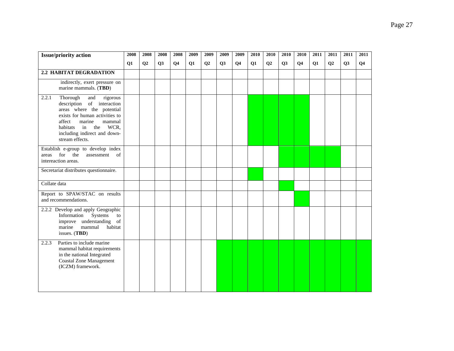| <b>Issue/priority action</b>                                                                                                                                                                                                                  | 2008          | 2008           | 2008      | 2008      | 2009      | 2009           | 2009      | 2009      | 2010      | 2010      | 2010      | 2010      | 2011      | 2011           | 2011      | 2011           |
|-----------------------------------------------------------------------------------------------------------------------------------------------------------------------------------------------------------------------------------------------|---------------|----------------|-----------|-----------|-----------|----------------|-----------|-----------|-----------|-----------|-----------|-----------|-----------|----------------|-----------|----------------|
|                                                                                                                                                                                                                                               | $\mathbf{Q1}$ | Q <sub>2</sub> | <b>O3</b> | <b>O4</b> | <b>O1</b> | Q <sub>2</sub> | <b>O3</b> | <b>O4</b> | <b>O1</b> | <b>O2</b> | <b>O3</b> | <b>O4</b> | <b>O1</b> | O <sub>2</sub> | <b>O3</b> | Q <sub>4</sub> |
| 2.2 HABITAT DEGRADATION                                                                                                                                                                                                                       |               |                |           |           |           |                |           |           |           |           |           |           |           |                |           |                |
| indirectly, exert pressure on<br>marine mammals. (TBD)                                                                                                                                                                                        |               |                |           |           |           |                |           |           |           |           |           |           |           |                |           |                |
| Thorough<br>2.2.1<br>and<br>rigorous<br>description of interaction<br>areas where the potential<br>exists for human activities to<br>affect<br>marine<br>mammal<br>habitats in the<br>WCR,<br>including indirect and down-<br>stream effects. |               |                |           |           |           |                |           |           |           |           |           |           |           |                |           |                |
| Establish e-group to develop index<br>for the<br>assessment<br>of<br>areas<br>intereaction areas.                                                                                                                                             |               |                |           |           |           |                |           |           |           |           |           |           |           |                |           |                |
| Secretariat distributes questionnaire.                                                                                                                                                                                                        |               |                |           |           |           |                |           |           |           |           |           |           |           |                |           |                |
| Collate data                                                                                                                                                                                                                                  |               |                |           |           |           |                |           |           |           |           |           |           |           |                |           |                |
| Report to SPAW/STAC on results<br>and recommendations.                                                                                                                                                                                        |               |                |           |           |           |                |           |           |           |           |           |           |           |                |           |                |
| 2.2.2 Develop and apply Geographic<br>Information<br>Systems<br>to<br>improve understanding of<br>marine<br>mammal<br>habitat<br>issues. (TBD)                                                                                                |               |                |           |           |           |                |           |           |           |           |           |           |           |                |           |                |
| Parties to include marine<br>2.2.3<br>mammal habitat requirements<br>in the national Integrated<br><b>Coastal Zone Management</b><br>(ICZM) framework.                                                                                        |               |                |           |           |           |                |           |           |           |           |           |           |           |                |           |                |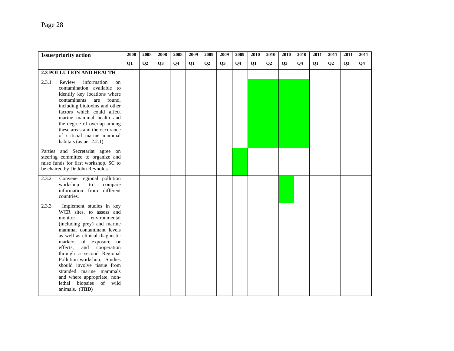| <b>Issue/priority action</b>                                                                                                                                                                                                                                                                                                                                                                                                                         | 2008 | 2008           | 2008      | 2008      | 2009 | 2009 | 2009      | 2009           | 2010 | 2010           | 2010      | 2010           | 2011 | 2011 | 2011      | 2011           |
|------------------------------------------------------------------------------------------------------------------------------------------------------------------------------------------------------------------------------------------------------------------------------------------------------------------------------------------------------------------------------------------------------------------------------------------------------|------|----------------|-----------|-----------|------|------|-----------|----------------|------|----------------|-----------|----------------|------|------|-----------|----------------|
|                                                                                                                                                                                                                                                                                                                                                                                                                                                      | Q1   | Q <sub>2</sub> | <b>O3</b> | <b>O4</b> | Q1   | Q2   | <b>O3</b> | Q <sub>4</sub> | Q1   | Q <sub>2</sub> | <b>O3</b> | Q <sub>4</sub> | Q1   | Q2   | <b>O3</b> | Q <sub>4</sub> |
| 2.3 POLLUTION AND HEALTH                                                                                                                                                                                                                                                                                                                                                                                                                             |      |                |           |           |      |      |           |                |      |                |           |                |      |      |           |                |
| 2.3.1<br>Review<br>information<br>on<br>contamination available to<br>identify key locations where<br>contaminants<br>are<br>found,<br>including biotoxins and other<br>factors which could affect<br>marine mammal health and<br>the degree of overlap among<br>these areas and the occurance<br>of criticial marine mammal<br>habitats (as per 2.2.1).                                                                                             |      |                |           |           |      |      |           |                |      |                |           |                |      |      |           |                |
| Parties and Secretariat agree on<br>steering committee to organize and<br>raise funds for first workshop. SC to<br>be chaired by Dr John Reynolds.                                                                                                                                                                                                                                                                                                   |      |                |           |           |      |      |           |                |      |                |           |                |      |      |           |                |
| 2.3.2<br>Convene regional pollution<br>workshop<br>to<br>compare<br>information from<br>different<br>countries.                                                                                                                                                                                                                                                                                                                                      |      |                |           |           |      |      |           |                |      |                |           |                |      |      |           |                |
| Implement studies in key<br>2.3.3<br>WCR sites, to assess and<br>environmental<br>monitor<br>(including prey) and marine<br>mammal contaminant levels<br>as well as clinical diagnostic<br>markers of exposure or<br>and cooperation<br>effects.<br>through a second Regional<br>Pollution workshop. Studies<br>should involve tissue from<br>stranded marine mammals<br>and where appropriate, non-<br>biopsies of wild<br>lethal<br>animals. (TBD) |      |                |           |           |      |      |           |                |      |                |           |                |      |      |           |                |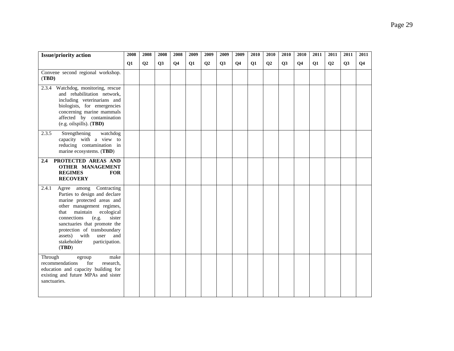| <b>Issue/priority action</b>                                                                                                                                                                                                                                                                                                          | 2008          | 2008           | 2008      | 2008      | 2009 | 2009           | 2009      | 2009           | 2010 | 2010           | 2010      | 2010           | 2011 | 2011 | 2011      | 2011           |
|---------------------------------------------------------------------------------------------------------------------------------------------------------------------------------------------------------------------------------------------------------------------------------------------------------------------------------------|---------------|----------------|-----------|-----------|------|----------------|-----------|----------------|------|----------------|-----------|----------------|------|------|-----------|----------------|
|                                                                                                                                                                                                                                                                                                                                       | $\mathbf{Q1}$ | Q <sub>2</sub> | <b>O3</b> | <b>O4</b> | Q1   | Q <sub>2</sub> | <b>O3</b> | Q <sub>4</sub> | Q1   | Q <sub>2</sub> | <b>O3</b> | Q <sub>4</sub> | Q1   | Q2   | <b>O3</b> | Q <sub>4</sub> |
| Convene second regional workshop.<br>(TBD)                                                                                                                                                                                                                                                                                            |               |                |           |           |      |                |           |                |      |                |           |                |      |      |           |                |
| Watchdog, monitoring, rescue<br>2.3.4<br>and rehabilitation network,<br>including veterinarians and<br>biologists, for emergencies<br>concerning marine mammals<br>affected by contamination<br>$(e.g. oilspills)$ . (TBD)                                                                                                            |               |                |           |           |      |                |           |                |      |                |           |                |      |      |           |                |
| 2.3.5<br>Strengthening<br>watchdog<br>capacity with a view to<br>reducing contamination in<br>marine ecosystems. (TBD)                                                                                                                                                                                                                |               |                |           |           |      |                |           |                |      |                |           |                |      |      |           |                |
| PROTECTED AREAS AND<br>$2.4\phantom{0}$<br><b>OTHER MANAGEMENT</b><br><b>REGIMES</b><br><b>FOR</b><br><b>RECOVERY</b>                                                                                                                                                                                                                 |               |                |           |           |      |                |           |                |      |                |           |                |      |      |           |                |
| 2.4.1<br>Agree among Contracting<br>Parties to design and declare<br>marine protected areas and<br>other management regimes,<br>maintain<br>ecological<br>that<br>connections<br>(e.g.<br>sister<br>sanctuaries that promote the<br>protection of transboundary<br>assets) with user<br>and<br>stakeholder<br>participation.<br>(TBD) |               |                |           |           |      |                |           |                |      |                |           |                |      |      |           |                |
| Through<br>make<br>egroup<br>recommendations<br>for<br>research,<br>education and capacity building for<br>existing and future MPAs and sister<br>sanctuaries.                                                                                                                                                                        |               |                |           |           |      |                |           |                |      |                |           |                |      |      |           |                |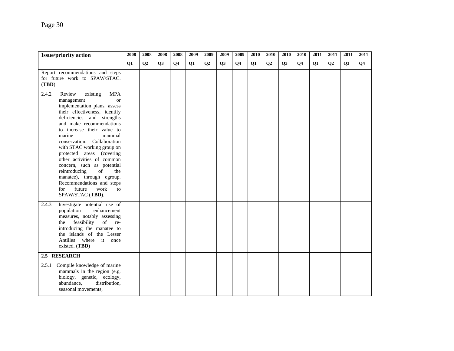| <b>Issue/priority action</b>                                                                                                                                                                                                                                                                                                                                                                                                                                                                                                                      | 2008          | 2008 | 2008      | 2008           | 2009 | 2009           | 2009      | 2009           | 2010 | 2010 | 2010      | 2010           | 2011 | 2011           | 2011      | 2011           |
|---------------------------------------------------------------------------------------------------------------------------------------------------------------------------------------------------------------------------------------------------------------------------------------------------------------------------------------------------------------------------------------------------------------------------------------------------------------------------------------------------------------------------------------------------|---------------|------|-----------|----------------|------|----------------|-----------|----------------|------|------|-----------|----------------|------|----------------|-----------|----------------|
|                                                                                                                                                                                                                                                                                                                                                                                                                                                                                                                                                   | $\mathbf{Q1}$ | Q2   | <b>O3</b> | Q <sub>4</sub> | Q1   | Q <sub>2</sub> | <b>O3</b> | Q <sub>4</sub> | Q1   | Q2   | <b>O3</b> | Q <sub>4</sub> | Q1   | Q <sub>2</sub> | <b>O3</b> | Q <sub>4</sub> |
| Report recommendations and steps<br>for future work to SPAW/STAC.<br>(TBD)                                                                                                                                                                                                                                                                                                                                                                                                                                                                        |               |      |           |                |      |                |           |                |      |      |           |                |      |                |           |                |
| 2.4.2<br>Review<br><b>MPA</b><br>existing<br>management<br>$\alpha$<br>implementation plans, assess<br>their effectiveness, identify<br>deficiencies and strengths<br>and make recommendations<br>to increase their value to<br>marine<br>mammal<br>conservation. Collaboration<br>with STAC working group on<br>protected areas (covering<br>other activities of common<br>concern, such as potential<br>reintroducing<br>of<br>the<br>manatee), through egroup.<br>Recommendations and steps<br>future<br>work<br>for<br>to<br>SPAW/STAC (TBD). |               |      |           |                |      |                |           |                |      |      |           |                |      |                |           |                |
| Investigate potential use of<br>2.4.3<br>population<br>enhancement<br>measures, notably assessing<br>feasibility<br>of<br>the<br>re-<br>introducing the manatee to<br>the islands of the Lesser<br>Antilles where it once<br>existed. $(TBD)$                                                                                                                                                                                                                                                                                                     |               |      |           |                |      |                |           |                |      |      |           |                |      |                |           |                |
| 2.5 RESEARCH                                                                                                                                                                                                                                                                                                                                                                                                                                                                                                                                      |               |      |           |                |      |                |           |                |      |      |           |                |      |                |           |                |
| Compile knowledge of marine<br>2.5.1<br>mammals in the region (e.g.<br>biology, genetic, ecology,<br>distribution,<br>abundance,<br>seasonal movements,                                                                                                                                                                                                                                                                                                                                                                                           |               |      |           |                |      |                |           |                |      |      |           |                |      |                |           |                |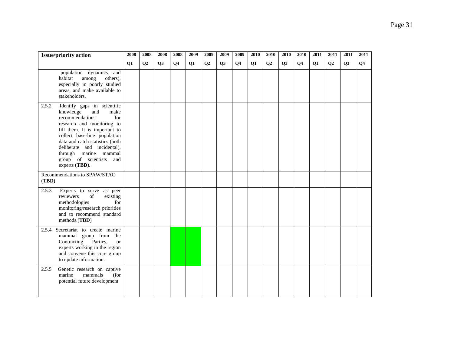|       | <b>Issue/priority action</b>                                                                                                                                                                                                                                                                                                | 2008 | 2008 | 2008      | 2008      | 2009 | 2009           | 2009      | 2009      | 2010 | 2010           | 2010      | 2010           | 2011 | 2011           | 2011      | 2011           |
|-------|-----------------------------------------------------------------------------------------------------------------------------------------------------------------------------------------------------------------------------------------------------------------------------------------------------------------------------|------|------|-----------|-----------|------|----------------|-----------|-----------|------|----------------|-----------|----------------|------|----------------|-----------|----------------|
|       |                                                                                                                                                                                                                                                                                                                             | Q1   | Q2   | <b>O3</b> | <b>O4</b> | Q1   | Q <sub>2</sub> | <b>O3</b> | <b>O4</b> | Q1   | Q <sub>2</sub> | <b>O3</b> | Q <sub>4</sub> | Q1   | Q <sub>2</sub> | <b>O3</b> | Q <sub>4</sub> |
|       | population dynamics<br>and<br>habitat<br>among<br>others),<br>especially in poorly studied<br>areas, and make available to<br>stakeholders.                                                                                                                                                                                 |      |      |           |           |      |                |           |           |      |                |           |                |      |                |           |                |
| 2.5.2 | Identify gaps in scientific<br>knowledge<br>and<br>make<br>recommendations<br>for<br>research and monitoring to<br>fill them. It is important to<br>collect base-line population<br>data and catch statistics (both<br>deliberate and incidental),<br>through marine mammal<br>group of scientists<br>and<br>experts (TBD). |      |      |           |           |      |                |           |           |      |                |           |                |      |                |           |                |
| (TBD) | Recommendations to SPAW/STAC                                                                                                                                                                                                                                                                                                |      |      |           |           |      |                |           |           |      |                |           |                |      |                |           |                |
| 2.5.3 | Experts to serve as peer<br>of<br>existing<br>reviewers<br>methodologies<br>for<br>monitoring/research priorities<br>and to recommend standard<br>methods.(TBD)                                                                                                                                                             |      |      |           |           |      |                |           |           |      |                |           |                |      |                |           |                |
| 2.5.4 | Secretariat to create marine<br>mammal group from the<br>Contracting<br>Parties,<br><sub>or</sub><br>experts working in the region<br>and convene this core group<br>to update information.                                                                                                                                 |      |      |           |           |      |                |           |           |      |                |           |                |      |                |           |                |
| 2.5.5 | Genetic research on captive<br>mammals<br>(for<br>marine<br>potential future development                                                                                                                                                                                                                                    |      |      |           |           |      |                |           |           |      |                |           |                |      |                |           |                |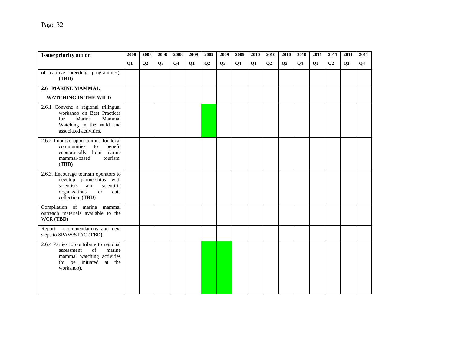| <b>Issue/priority action</b>                                                                                                                               | 2008          | 2008 | 2008 | 2008      | 2009 | 2009 | 2009 | 2009           | 2010 | 2010           | 2010      | 2010           | 2011 | 2011 | 2011      | 2011           |
|------------------------------------------------------------------------------------------------------------------------------------------------------------|---------------|------|------|-----------|------|------|------|----------------|------|----------------|-----------|----------------|------|------|-----------|----------------|
|                                                                                                                                                            | $\mathbf{Q1}$ | Q2   | Q3   | <b>O4</b> | Q1   | Q2   | Q3   | Q <sub>4</sub> | Q1   | Q <sub>2</sub> | <b>O3</b> | Q <sub>4</sub> | Q1   | Q2   | <b>O3</b> | Q <sub>4</sub> |
| of captive breeding programmes).<br>(TBD)                                                                                                                  |               |      |      |           |      |      |      |                |      |                |           |                |      |      |           |                |
| 2.6 MARINE MAMMAL                                                                                                                                          |               |      |      |           |      |      |      |                |      |                |           |                |      |      |           |                |
| <b>WATCHING IN THE WILD</b>                                                                                                                                |               |      |      |           |      |      |      |                |      |                |           |                |      |      |           |                |
| 2.6.1 Convene a regional trilingual<br>workshop on Best Practices<br>Mammal<br>for<br>Marine<br>Watching in the Wild and<br>associated activities.         |               |      |      |           |      |      |      |                |      |                |           |                |      |      |           |                |
| 2.6.2 Improve opportunities for local<br>communities<br>benefit<br>to<br>economically from marine<br>tourism.<br>mammal-based<br>(TBD)                     |               |      |      |           |      |      |      |                |      |                |           |                |      |      |           |                |
| 2.6.3. Encourage tourism operators to<br>develop partnerships with<br>and<br>scientific<br>scientists<br>organizations<br>for<br>data<br>collection. (TBD) |               |      |      |           |      |      |      |                |      |                |           |                |      |      |           |                |
| Compilation of marine mammal<br>outreach materials available to the<br>WCR (TBD)                                                                           |               |      |      |           |      |      |      |                |      |                |           |                |      |      |           |                |
| Report recommendations and next<br>steps to SPAW/STAC (TBD)                                                                                                |               |      |      |           |      |      |      |                |      |                |           |                |      |      |           |                |
| 2.6.4 Parties to contribute to regional<br>of<br>marine<br>assessment<br>mammal watching activities<br>(to be initiated at the<br>workshop).               |               |      |      |           |      |      |      |                |      |                |           |                |      |      |           |                |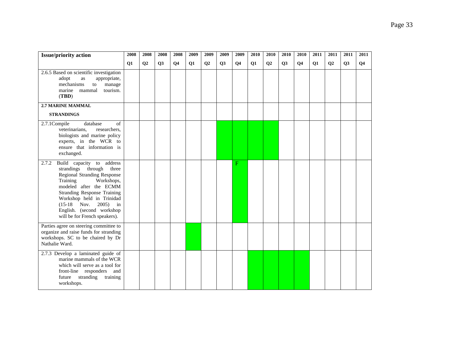| <b>Issue/priority action</b>                                                                                                                                                                                                                                                                                                        | 2008          | 2008 | 2008 | 2008      | 2009 | 2009 | 2009 | 2009           | 2010 | 2010 | 2010      | 2010           | 2011 | 2011 | 2011      | 2011           |
|-------------------------------------------------------------------------------------------------------------------------------------------------------------------------------------------------------------------------------------------------------------------------------------------------------------------------------------|---------------|------|------|-----------|------|------|------|----------------|------|------|-----------|----------------|------|------|-----------|----------------|
|                                                                                                                                                                                                                                                                                                                                     | $\mathbf{Q1}$ | Q2   | Q3   | <b>O4</b> | Q1   | Q2   | Q3   | Q <sub>4</sub> | Q1   | Q2   | <b>O3</b> | Q <sub>4</sub> | Q1   | Q2   | <b>O3</b> | Q <sub>4</sub> |
| 2.6.5 Based on scientific investigation<br>adopt<br>appropriate,<br>as<br>mechanisms<br>$\mathop{\mathrm{to}}$<br>manage<br>tourism.<br>marine<br>mammal<br>(TBD)                                                                                                                                                                   |               |      |      |           |      |      |      |                |      |      |           |                |      |      |           |                |
| <b>2.7 MARINE MAMMAL</b>                                                                                                                                                                                                                                                                                                            |               |      |      |           |      |      |      |                |      |      |           |                |      |      |           |                |
| <b>STRANDINGS</b>                                                                                                                                                                                                                                                                                                                   |               |      |      |           |      |      |      |                |      |      |           |                |      |      |           |                |
| 2.7.1Compile<br>of<br>database<br>veterinarians,<br>researchers,<br>biologists and marine policy<br>experts, in the WCR to<br>ensure that information is<br>exchanged.                                                                                                                                                              |               |      |      |           |      |      |      |                |      |      |           |                |      |      |           |                |
| $\overline{2.7.2}$<br>Build capacity to address<br>strandings through<br>three<br>Regional Stranding Response<br>Training<br>Workshops,<br>modeled after the ECMM<br><b>Stranding Response Training</b><br>Workshop held in Trinidad<br>2005)<br>$(15-18)$ Nov.<br>in<br>English. (second workshop<br>will be for French speakers). |               |      |      |           |      |      |      | F              |      |      |           |                |      |      |           |                |
| Parties agree on steering committee to<br>organize and raise funds for stranding<br>workshops. SC to be chaired by Dr<br>Nathalie Ward.                                                                                                                                                                                             |               |      |      |           |      |      |      |                |      |      |           |                |      |      |           |                |
| 2.7.3 Develop a laminated guide of<br>marine mammals of the WCR<br>which will serve as a tool for<br>front-line responders and<br>future<br>stranding<br>training<br>workshops.                                                                                                                                                     |               |      |      |           |      |      |      |                |      |      |           |                |      |      |           |                |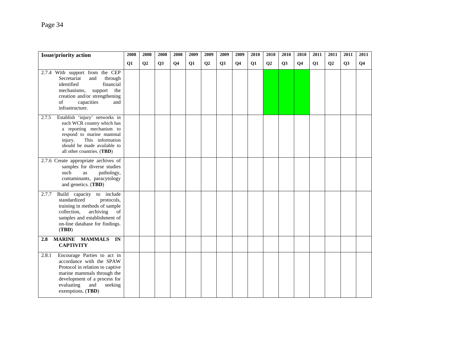| <b>Issue/priority action</b>                                                                                                                                                                                              | 2008          | 2008           | 2008 | 2008      | 2009 | 2009 | 2009 | 2009           | 2010 | 2010           | 2010      | 2010           | 2011 | 2011 | 2011      | 2011           |
|---------------------------------------------------------------------------------------------------------------------------------------------------------------------------------------------------------------------------|---------------|----------------|------|-----------|------|------|------|----------------|------|----------------|-----------|----------------|------|------|-----------|----------------|
|                                                                                                                                                                                                                           | $\mathbf{Q1}$ | Q <sub>2</sub> | Q3   | <b>O4</b> | Q1   | Q2   | Q3   | Q <sub>4</sub> | Q1   | Q <sub>2</sub> | <b>O3</b> | Q <sub>4</sub> | Q1   | Q2   | <b>O3</b> | Q <sub>4</sub> |
| 2.7.4 With support from the CEP<br>Secretariat<br>through<br>and<br>identified<br>financial<br>mechanisms,<br>support<br>the<br>creation and/or strengthening<br>of<br>capacities<br>and<br>infrastructure.               |               |                |      |           |      |      |      |                |      |                |           |                |      |      |           |                |
| Establish 'injury' networks in<br>2.7.5<br>each WCR country which has<br>a reporting mechanism to<br>respond to marine mammal<br>This information<br>injury.<br>should be made available to<br>all other countries. (TBD) |               |                |      |           |      |      |      |                |      |                |           |                |      |      |           |                |
| 2.7.6 Create appropriate archives of<br>samples for diverse studies<br>such<br>pathology,<br>as<br>contaminants, paracytology<br>and genetics. (TBD)                                                                      |               |                |      |           |      |      |      |                |      |                |           |                |      |      |           |                |
| Build capacity to include<br>2.7.7<br>standardized<br>protocols,<br>training in methods of sample<br>archiving<br>collection,<br>of<br>samples and establishment of<br>on-line database for findings.<br>(TBD)            |               |                |      |           |      |      |      |                |      |                |           |                |      |      |           |                |
| MARINE MAMMALS IN<br>2.8<br><b>CAPTIVITY</b>                                                                                                                                                                              |               |                |      |           |      |      |      |                |      |                |           |                |      |      |           |                |
| Encourage Parties to act in<br>2.8.1<br>accordance with the SPAW<br>Protocol in relation to captive<br>marine mammals through the<br>development of a process for<br>evaluating<br>and<br>seeking<br>exemptions. (TBD)    |               |                |      |           |      |      |      |                |      |                |           |                |      |      |           |                |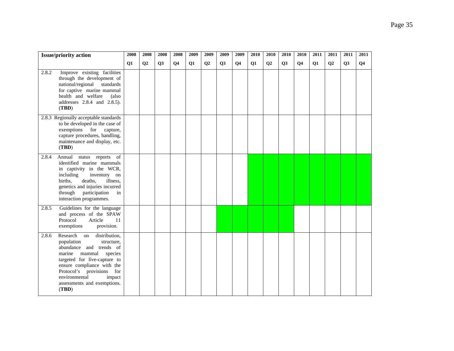| <b>Issue/priority action</b>                                                                                                                                                                                                                                                              | 2008      | 2008      | 2008      | 2008      | 2009 | 2009           | 2009      | 2009      | 2010 | 2010           | 2010      | 2010      | 2011      | 2011           | 2011      | 2011      |
|-------------------------------------------------------------------------------------------------------------------------------------------------------------------------------------------------------------------------------------------------------------------------------------------|-----------|-----------|-----------|-----------|------|----------------|-----------|-----------|------|----------------|-----------|-----------|-----------|----------------|-----------|-----------|
|                                                                                                                                                                                                                                                                                           | <b>O1</b> | <b>O2</b> | <b>O3</b> | <b>O4</b> | Q1   | Q <sub>2</sub> | <b>O3</b> | <b>O4</b> | Q1   | Q <sub>2</sub> | <b>O3</b> | <b>O4</b> | <b>O1</b> | Q <sub>2</sub> | <b>O3</b> | <b>O4</b> |
| 2.8.2<br>Improve existing facilities<br>through the development of<br>national/regional<br>standards<br>for captive marine mammal<br>health and welfare<br>(also<br>addresses 2.8.4 and 2.8.5).<br>(TBD)                                                                                  |           |           |           |           |      |                |           |           |      |                |           |           |           |                |           |           |
| 2.8.3 Regionally acceptable standards<br>to be developed in the case of<br>exemptions<br>for<br>capture,<br>capture procedures, handling,<br>maintenance and display, etc.<br>(TBD)                                                                                                       |           |           |           |           |      |                |           |           |      |                |           |           |           |                |           |           |
| 2.8.4<br>Annual status reports of<br>identified marine mammals<br>in captivity in the WCR,<br>including<br>inventory on<br>births,<br>deaths.<br>illness,<br>genetics and injuries incurred<br>through participation<br>in<br>interaction programmes.                                     |           |           |           |           |      |                |           |           |      |                |           |           |           |                |           |           |
| Guidelines for the language<br>2.8.5<br>and process of the SPAW<br>Protocol<br>Article<br>11<br>exemptions<br>provision.                                                                                                                                                                  |           |           |           |           |      |                |           |           |      |                |           |           |           |                |           |           |
| Research on<br>distribution,<br>2.8.6<br>population<br>structure,<br>abundance and trends of<br>marine<br>mammal<br>species<br>targeted for live-capture to<br>ensure compliance with the<br>Protocol's provisions for<br>environmental<br>impact<br>assessments and exemptions.<br>(TBD) |           |           |           |           |      |                |           |           |      |                |           |           |           |                |           |           |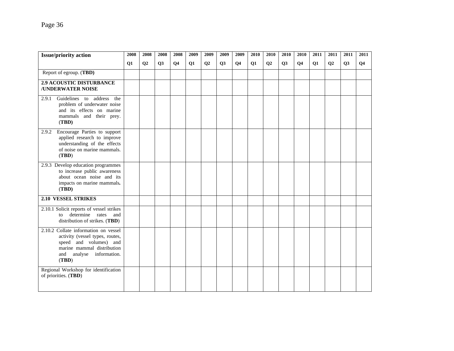| <b>Issue/priority action</b>                                                                                                                                         | 2008 | 2008 | 2008 | 2008      | 2009 | 2009           | 2009 | 2009           | 2010 | 2010           | 2010 | 2010           | 2011 | 2011           | 2011 | 2011           |
|----------------------------------------------------------------------------------------------------------------------------------------------------------------------|------|------|------|-----------|------|----------------|------|----------------|------|----------------|------|----------------|------|----------------|------|----------------|
|                                                                                                                                                                      | Q1   | Q2   | Q3   | <b>O4</b> | Q1   | Q <sub>2</sub> | Q3   | Q <sub>4</sub> | Q1   | Q <sub>2</sub> | Q3   | Q <sub>4</sub> | Q1   | Q <sub>2</sub> | Q3   | Q <sub>4</sub> |
| Report of egroup. (TBD)                                                                                                                                              |      |      |      |           |      |                |      |                |      |                |      |                |      |                |      |                |
| <b>2.9 ACOUSTIC DISTURBANCE</b><br><b>/UNDERWATER NOISE</b>                                                                                                          |      |      |      |           |      |                |      |                |      |                |      |                |      |                |      |                |
| Guidelines to address the<br>2.9.1<br>problem of underwater noise<br>and its effects on marine<br>mammals and their prey.<br>(TBD)                                   |      |      |      |           |      |                |      |                |      |                |      |                |      |                |      |                |
| Encourage Parties to support<br>2.9.2<br>applied research to improve<br>understanding of the effects<br>of noise on marine mammals.<br>(TBD)                         |      |      |      |           |      |                |      |                |      |                |      |                |      |                |      |                |
| 2.9.3 Develop education programmes<br>to increase public awareness<br>about ocean noise and its<br>impacts on marine mammals.<br>(TBD)                               |      |      |      |           |      |                |      |                |      |                |      |                |      |                |      |                |
| <b>2.10 VESSEL STRIKES</b>                                                                                                                                           |      |      |      |           |      |                |      |                |      |                |      |                |      |                |      |                |
| 2.10.1 Solicit reports of vessel strikes<br>determine rates and<br>to<br>distribution of strikes. (TBD)                                                              |      |      |      |           |      |                |      |                |      |                |      |                |      |                |      |                |
| 2.10.2 Collate information on vessel<br>activity (vessel types, routes,<br>speed and volumes) and<br>marine mammal distribution<br>and analyse information.<br>(TBD) |      |      |      |           |      |                |      |                |      |                |      |                |      |                |      |                |
| Regional Workshop for identification<br>of priorities. (TBD)                                                                                                         |      |      |      |           |      |                |      |                |      |                |      |                |      |                |      |                |